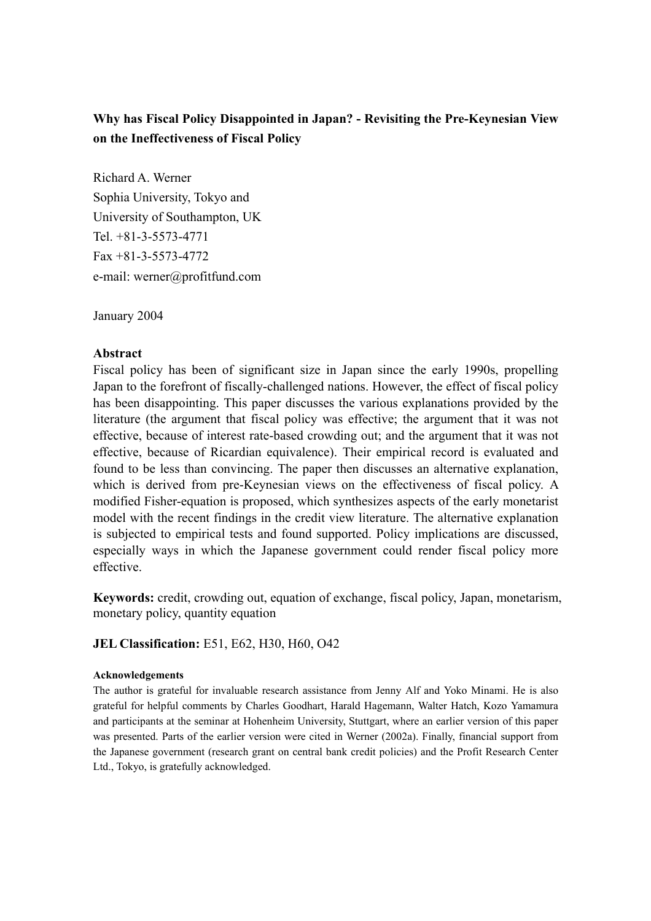# **Why has Fiscal Policy Disappointed in Japan? - Revisiting the Pre-Keynesian View on the Ineffectiveness of Fiscal Policy**

Richard A. Werner Sophia University, Tokyo and University of Southampton, UK Tel. +81-3-5573-4771 Fax +81-3-5573-4772 e-mail: werner@profitfund.com

January 2004

## **Abstract**

Fiscal policy has been of significant size in Japan since the early 1990s, propelling Japan to the forefront of fiscally-challenged nations. However, the effect of fiscal policy has been disappointing. This paper discusses the various explanations provided by the literature (the argument that fiscal policy was effective; the argument that it was not effective, because of interest rate-based crowding out; and the argument that it was not effective, because of Ricardian equivalence). Their empirical record is evaluated and found to be less than convincing. The paper then discusses an alternative explanation, which is derived from pre-Keynesian views on the effectiveness of fiscal policy. A modified Fisher-equation is proposed, which synthesizes aspects of the early monetarist model with the recent findings in the credit view literature. The alternative explanation is subjected to empirical tests and found supported. Policy implications are discussed, especially ways in which the Japanese government could render fiscal policy more effective.

**Keywords:** credit, crowding out, equation of exchange, fiscal policy, Japan, monetarism, monetary policy, quantity equation

## **JEL Classification:** E51, E62, H30, H60, O42

#### **Acknowledgements**

The author is grateful for invaluable research assistance from Jenny Alf and Yoko Minami. He is also grateful for helpful comments by Charles Goodhart, Harald Hagemann, Walter Hatch, Kozo Yamamura and participants at the seminar at Hohenheim University, Stuttgart, where an earlier version of this paper was presented. Parts of the earlier version were cited in Werner (2002a). Finally, financial support from the Japanese government (research grant on central bank credit policies) and the Profit Research Center Ltd., Tokyo, is gratefully acknowledged.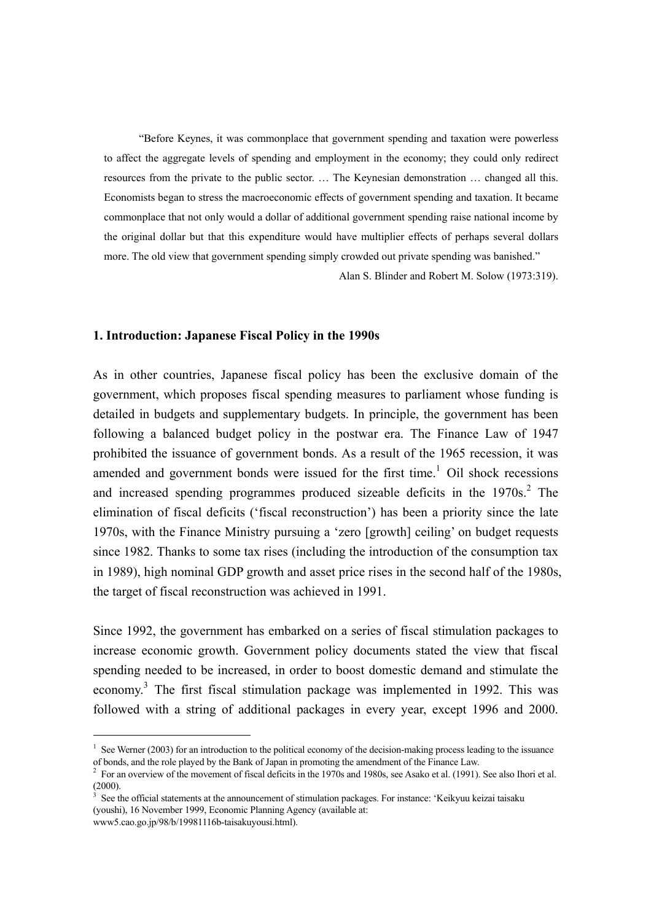"Before Keynes, it was commonplace that government spending and taxation were powerless to affect the aggregate levels of spending and employment in the economy; they could only redirect resources from the private to the public sector. … The Keynesian demonstration … changed all this. Economists began to stress the macroeconomic effects of government spending and taxation. It became commonplace that not only would a dollar of additional government spending raise national income by the original dollar but that this expenditure would have multiplier effects of perhaps several dollars more. The old view that government spending simply crowded out private spending was banished."

Alan S. Blinder and Robert M. Solow (1973:319).

#### **1. Introduction: Japanese Fiscal Policy in the 1990s**

 $\overline{a}$ 

As in other countries, Japanese fiscal policy has been the exclusive domain of the government, which proposes fiscal spending measures to parliament whose funding is detailed in budgets and supplementary budgets. In principle, the government has been following a balanced budget policy in the postwar era. The Finance Law of 1947 prohibited the issuance of government bonds. As a result of the 1965 recession, it was amended and government bonds were issued for the first time.<sup>1</sup> Oil shock recessions and increased spending programmes produced sizeable deficits in the  $1970s$ <sup>2</sup>. The elimination of fiscal deficits ('fiscal reconstruction') has been a priority since the late 1970s, with the Finance Ministry pursuing a 'zero [growth] ceiling' on budget requests since 1982. Thanks to some tax rises (including the introduction of the consumption tax in 1989), high nominal GDP growth and asset price rises in the second half of the 1980s, the target of fiscal reconstruction was achieved in 1991.

Since 1992, the government has embarked on a series of fiscal stimulation packages to increase economic growth. Government policy documents stated the view that fiscal spending needed to be increased, in order to boost domestic demand and stimulate the economy.<sup>3</sup> The first fiscal stimulation package was implemented in 1992. This was followed with a string of additional packages in every year, except 1996 and 2000.

<sup>&</sup>lt;sup>1</sup> See Werner (2003) for an introduction to the political economy of the decision-making process leading to the issuance of bonds, and the role played by the Bank of Japan in promoting the amendment of the Finance Law. 2

 $^2$  For an overview of the movement of fiscal deficits in the 1970s and 1980s, see Asako et al. (1991). See also Ihori et al.  $(2000)$ .

See the official statements at the announcement of stimulation packages. For instance: 'Keikyuu keizai taisaku (youshi), 16 November 1999, Economic Planning Agency (available at: www5.cao.go.jp/98/b/19981116b-taisakuyousi.html).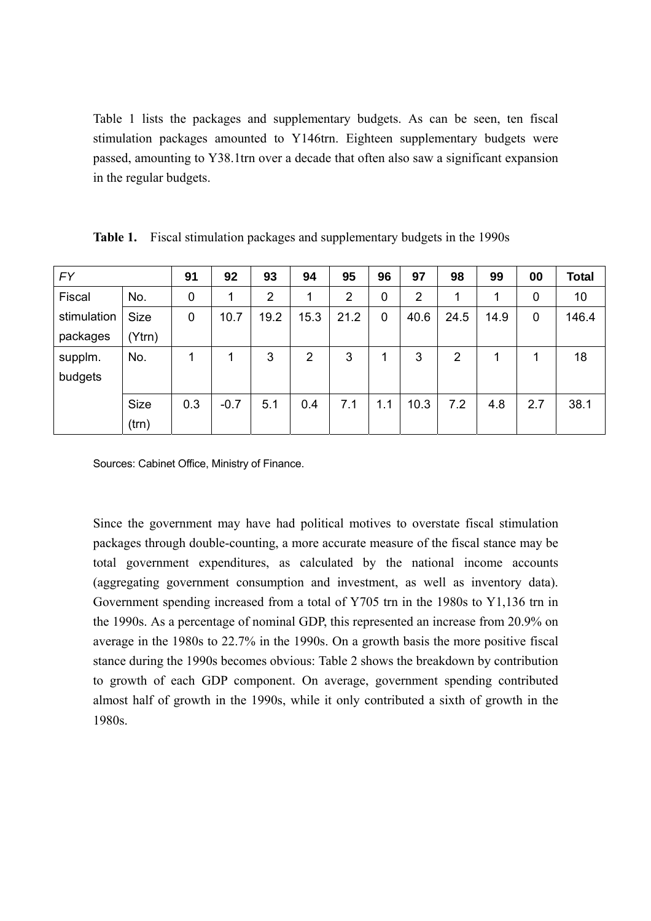Table 1 lists the packages and supplementary budgets. As can be seen, ten fiscal stimulation packages amounted to Y146trn. Eighteen supplementary budgets were passed, amounting to Y38.1trn over a decade that often also saw a significant expansion in the regular budgets.

| <b>FY</b>   |              | 91  | 92           | 93             | 94             | 95             | 96          | 97             | 98   | 99   | 00  | <b>Total</b> |
|-------------|--------------|-----|--------------|----------------|----------------|----------------|-------------|----------------|------|------|-----|--------------|
| Fiscal      | No.          | 0   | $\mathbf{1}$ | $\overline{2}$ | 1              | $\overline{2}$ | 0           | $\overline{2}$ | 1    | 1    | 0   | 10           |
| stimulation | <b>Size</b>  | 0   | 10.7         | 19.2           | 15.3           | 21.2           | $\mathbf 0$ | 40.6           | 24.5 | 14.9 | 0   | 146.4        |
| packages    | $(Y$ trn $)$ |     |              |                |                |                |             |                |      |      |     |              |
| supplm.     | No.          | 1   | 1            | 3              | $\overline{2}$ | 3              | 1           | 3              | 2    |      |     | 18           |
| budgets     |              |     |              |                |                |                |             |                |      |      |     |              |
|             | Size         | 0.3 | $-0.7$       | 5.1            | 0.4            | 7.1            | 1.1         | 10.3           | 7.2  | 4.8  | 2.7 | 38.1         |
|             | (trn)        |     |              |                |                |                |             |                |      |      |     |              |

**Table 1.** Fiscal stimulation packages and supplementary budgets in the 1990s

Sources: Cabinet Office, Ministry of Finance.

Since the government may have had political motives to overstate fiscal stimulation packages through double-counting, a more accurate measure of the fiscal stance may be total government expenditures, as calculated by the national income accounts (aggregating government consumption and investment, as well as inventory data). Government spending increased from a total of Y705 trn in the 1980s to Y1,136 trn in the 1990s. As a percentage of nominal GDP, this represented an increase from 20.9% on average in the 1980s to 22.7% in the 1990s. On a growth basis the more positive fiscal stance during the 1990s becomes obvious: Table 2 shows the breakdown by contribution to growth of each GDP component. On average, government spending contributed almost half of growth in the 1990s, while it only contributed a sixth of growth in the 1980s.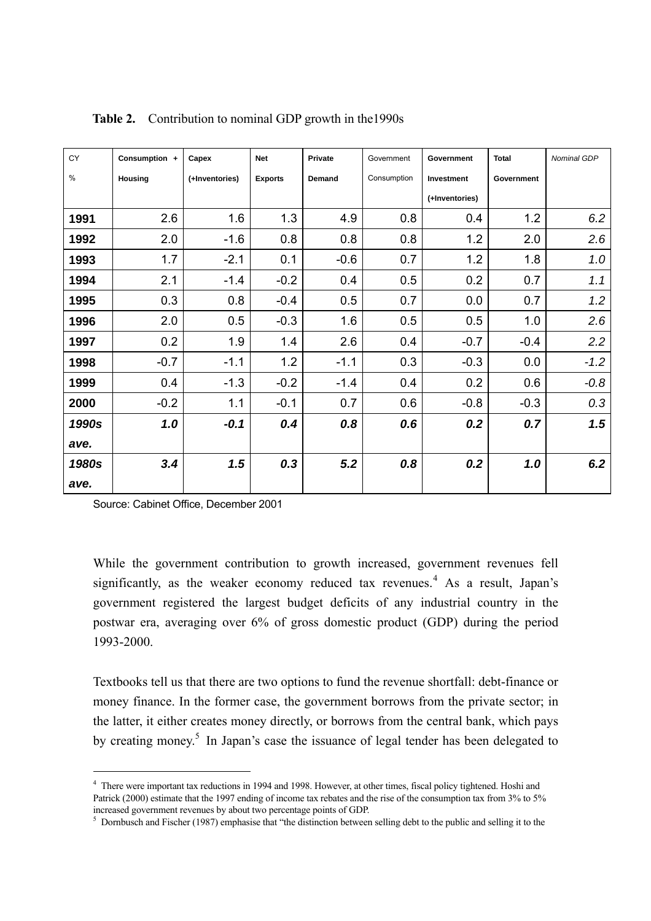| CY    | Consumption +  | Capex          | <b>Net</b>     | Private | Government  | Government     | <b>Total</b> | Nominal GDP |
|-------|----------------|----------------|----------------|---------|-------------|----------------|--------------|-------------|
| $\%$  | <b>Housing</b> | (+Inventories) | <b>Exports</b> | Demand  | Consumption | Investment     | Government   |             |
|       |                |                |                |         |             | (+Inventories) |              |             |
| 1991  | 2.6            | 1.6            | 1.3            | 4.9     | 0.8         | 0.4            | 1.2          | 6.2         |
| 1992  | 2.0            | $-1.6$         | 0.8            | 0.8     | 0.8         | 1.2            | 2.0          | 2.6         |
| 1993  | 1.7            | $-2.1$         | 0.1            | $-0.6$  | 0.7         | 1.2            | 1.8          | 1.0         |
| 1994  | 2.1            | $-1.4$         | $-0.2$         | 0.4     | 0.5         | 0.2            | 0.7          | 1.1         |
| 1995  | 0.3            | 0.8            | $-0.4$         | 0.5     | 0.7         | 0.0            | 0.7          | 1.2         |
| 1996  | 2.0            | 0.5            | $-0.3$         | 1.6     | 0.5         | 0.5            | 1.0          | 2.6         |
| 1997  | 0.2            | 1.9            | 1.4            | 2.6     | 0.4         | $-0.7$         | $-0.4$       | 2.2         |
| 1998  | $-0.7$         | $-1.1$         | 1.2            | $-1.1$  | 0.3         | $-0.3$         | 0.0          | $-1.2$      |
| 1999  | 0.4            | $-1.3$         | $-0.2$         | $-1.4$  | 0.4         | 0.2            | 0.6          | $-0.8$      |
| 2000  | $-0.2$         | 1.1            | $-0.1$         | 0.7     | 0.6         | $-0.8$         | $-0.3$       | 0.3         |
| 1990s | 1.0            | $-0.1$         | 0.4            | 0.8     | 0.6         | 0.2            | 0.7          | 1.5         |
| ave.  |                |                |                |         |             |                |              |             |
| 1980s | 3.4            | 1.5            | 0.3            | 5.2     | 0.8         | 0.2            | 1.0          | 6.2         |
| ave.  |                |                |                |         |             |                |              |             |

**Table 2.** Contribution to nominal GDP growth in the1990s

Source: Cabinet Office, December 2001

 $\overline{a}$ 

While the government contribution to growth increased, government revenues fell significantly, as the weaker economy reduced tax revenues.<sup>4</sup> As a result, Japan's government registered the largest budget deficits of any industrial country in the postwar era, averaging over 6% of gross domestic product (GDP) during the period 1993-2000.

Textbooks tell us that there are two options to fund the revenue shortfall: debt-finance or money finance. In the former case, the government borrows from the private sector; in the latter, it either creates money directly, or borrows from the central bank, which pays by creating money.<sup>5</sup> In Japan's case the issuance of legal tender has been delegated to

<sup>&</sup>lt;sup>4</sup> There were important tax reductions in 1994 and 1998. However, at other times, fiscal policy tightened. Hoshi and Patrick (2000) estimate that the 1997 ending of income tax rebates and the rise of the consumption tax from 3% to 5% increased government revenues by about two percentage points of GDP. 5

<sup>&</sup>lt;sup>5</sup> Dornbusch and Fischer (1987) emphasise that "the distinction between selling debt to the public and selling it to the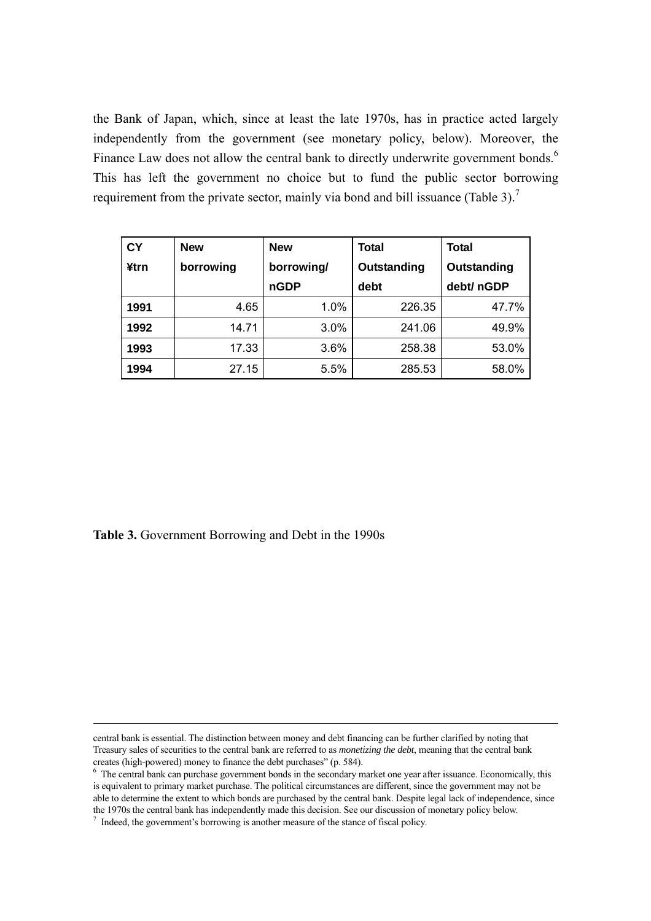the Bank of Japan, which, since at least the late 1970s, has in practice acted largely independently from the government (see monetary policy, below). Moreover, the Finance Law does not allow the central bank to directly underwrite government bonds.<sup>6</sup> This has left the government no choice but to fund the public sector borrowing requirement from the private sector, mainly via bond and bill issuance (Table 3).<sup>7</sup>

| <b>CY</b> | <b>New</b> | <b>New</b> | Total       | Total       |
|-----------|------------|------------|-------------|-------------|
| ¥trn      | borrowing  | borrowing/ | Outstanding | Outstanding |
|           |            | nGDP       | debt        | debt/ nGDP  |
| 1991      | 4.65       | 1.0%       | 226.35      | 47.7%       |
| 1992      | 14.71      | 3.0%       | 241.06      | 49.9%       |
| 1993      | 17.33      | 3.6%       | 258.38      | 53.0%       |
| 1994      | 27.15      | 5.5%       | 285.53      | 58.0%       |

**Table 3.** Government Borrowing and Debt in the 1990s

1

central bank is essential. The distinction between money and debt financing can be further clarified by noting that Treasury sales of securities to the central bank are referred to as *monetizing the debt*, meaning that the central bank creates (high-powered) money to finance the debt purchases" (p. 584).

 $6\degree$  The central bank can purchase government bonds in the secondary market one year after issuance. Economically, this is equivalent to primary market purchase. The political circumstances are different, since the government may not be able to determine the extent to which bonds are purchased by the central bank. Despite legal lack of independence, since the 1970s the central bank has independently made this decision. See our discussion of monetary policy below. 7

 $\frac{1}{1}$  Indeed, the government's borrowing is another measure of the stance of fiscal policy.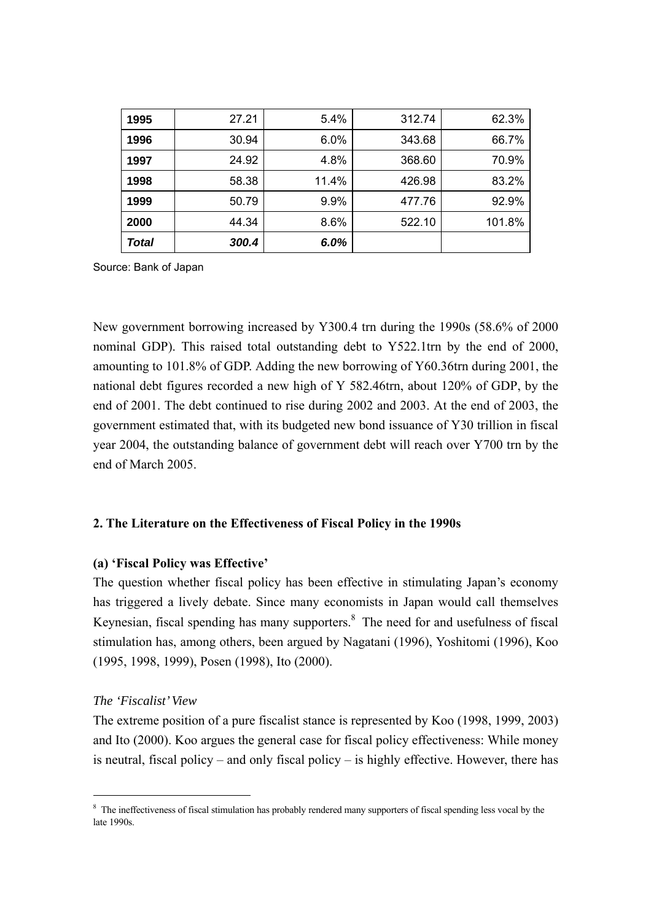| 1995  | 27.21 | 5.4%  | 312.74 | 62.3%  |
|-------|-------|-------|--------|--------|
| 1996  | 30.94 | 6.0%  | 343.68 | 66.7%  |
| 1997  | 24.92 | 4.8%  | 368.60 | 70.9%  |
| 1998  | 58.38 | 11.4% | 426.98 | 83.2%  |
| 1999  | 50.79 | 9.9%  | 477.76 | 92.9%  |
| 2000  | 44.34 | 8.6%  | 522.10 | 101.8% |
| Total | 300.4 | 6.0%  |        |        |

Source: Bank of Japan

New government borrowing increased by Y300.4 trn during the 1990s (58.6% of 2000 nominal GDP). This raised total outstanding debt to Y522.1trn by the end of 2000, amounting to 101.8% of GDP. Adding the new borrowing of Y60.36trn during 2001, the national debt figures recorded a new high of Y 582.46trn, about 120% of GDP, by the end of 2001. The debt continued to rise during 2002 and 2003. At the end of 2003, the government estimated that, with its budgeted new bond issuance of Y30 trillion in fiscal year 2004, the outstanding balance of government debt will reach over Y700 trn by the end of March 2005.

## **2. The Literature on the Effectiveness of Fiscal Policy in the 1990s**

## **(a) 'Fiscal Policy was Effective'**

The question whether fiscal policy has been effective in stimulating Japan's economy has triggered a lively debate. Since many economists in Japan would call themselves Keynesian, fiscal spending has many supporters. $8$  The need for and usefulness of fiscal stimulation has, among others, been argued by Nagatani (1996), Yoshitomi (1996), Koo (1995, 1998, 1999), Posen (1998), Ito (2000).

### *The 'Fiscalist' View*

 $\overline{a}$ 

The extreme position of a pure fiscalist stance is represented by Koo (1998, 1999, 2003) and Ito (2000). Koo argues the general case for fiscal policy effectiveness: While money is neutral, fiscal policy – and only fiscal policy – is highly effective. However, there has

<sup>&</sup>lt;sup>8</sup> The ineffectiveness of fiscal stimulation has probably rendered many supporters of fiscal spending less vocal by the late 1990s.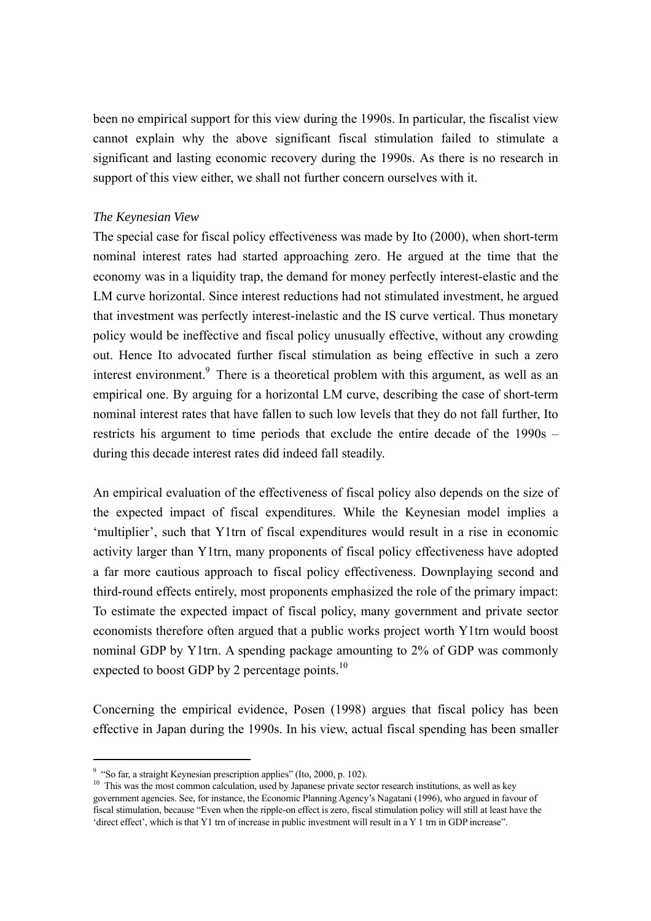been no empirical support for this view during the 1990s. In particular, the fiscalist view cannot explain why the above significant fiscal stimulation failed to stimulate a significant and lasting economic recovery during the 1990s. As there is no research in support of this view either, we shall not further concern ourselves with it.

## *The Keynesian View*

The special case for fiscal policy effectiveness was made by Ito (2000), when short-term nominal interest rates had started approaching zero. He argued at the time that the economy was in a liquidity trap, the demand for money perfectly interest-elastic and the LM curve horizontal. Since interest reductions had not stimulated investment, he argued that investment was perfectly interest-inelastic and the IS curve vertical. Thus monetary policy would be ineffective and fiscal policy unusually effective, without any crowding out. Hence Ito advocated further fiscal stimulation as being effective in such a zero interest environment.<sup>9</sup> There is a theoretical problem with this argument, as well as an empirical one. By arguing for a horizontal LM curve, describing the case of short-term nominal interest rates that have fallen to such low levels that they do not fall further, Ito restricts his argument to time periods that exclude the entire decade of the 1990s – during this decade interest rates did indeed fall steadily.

An empirical evaluation of the effectiveness of fiscal policy also depends on the size of the expected impact of fiscal expenditures. While the Keynesian model implies a 'multiplier', such that Y1trn of fiscal expenditures would result in a rise in economic activity larger than Y1trn, many proponents of fiscal policy effectiveness have adopted a far more cautious approach to fiscal policy effectiveness. Downplaying second and third-round effects entirely, most proponents emphasized the role of the primary impact: To estimate the expected impact of fiscal policy, many government and private sector economists therefore often argued that a public works project worth Y1trn would boost nominal GDP by Y1trn. A spending package amounting to 2% of GDP was commonly expected to boost GDP by 2 percentage points.<sup>10</sup>

Concerning the empirical evidence, Posen (1998) argues that fiscal policy has been effective in Japan during the 1990s. In his view, actual fiscal spending has been smaller

 $\overline{a}$ 

<sup>&</sup>lt;sup>9</sup> "So far, a straight Keynesian prescription applies" (Ito, 2000, p. 102).

<sup>&</sup>lt;sup>10</sup> This was the most common calculation, used by Japanese private sector research institutions, as well as key government agencies. See, for instance, the Economic Planning Agency's Nagatani (1996), who argued in favour of fiscal stimulation, because "Even when the ripple-on effect is zero, fiscal stimulation policy will still at least have the 'direct effect', which is that Y1 trn of increase in public investment will result in a Y 1 trn in GDP increase".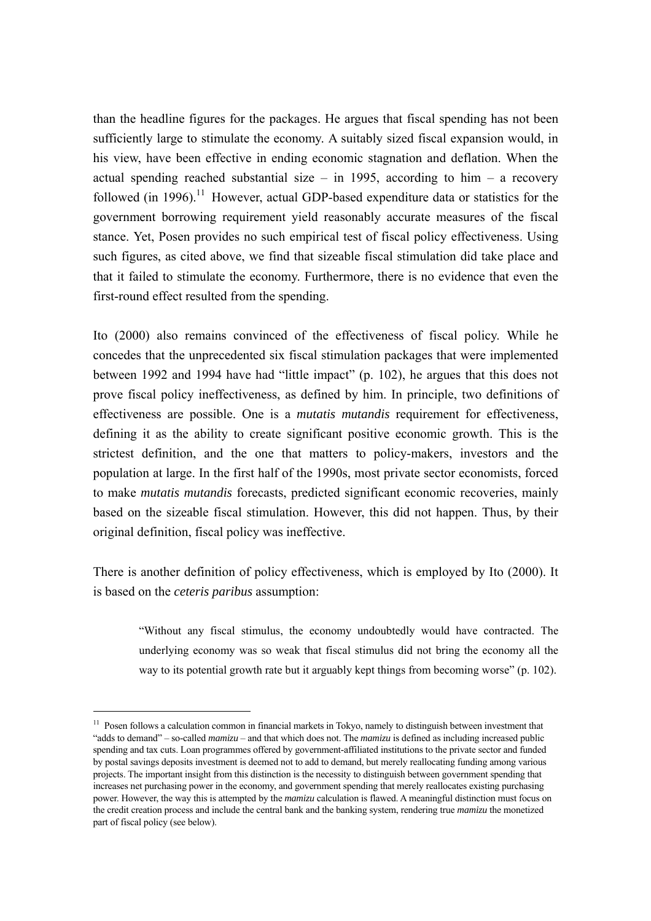than the headline figures for the packages. He argues that fiscal spending has not been sufficiently large to stimulate the economy. A suitably sized fiscal expansion would, in his view, have been effective in ending economic stagnation and deflation. When the actual spending reached substantial size – in 1995, according to him – a recovery followed (in 1996).<sup>11</sup> However, actual GDP-based expenditure data or statistics for the government borrowing requirement yield reasonably accurate measures of the fiscal stance. Yet, Posen provides no such empirical test of fiscal policy effectiveness. Using such figures, as cited above, we find that sizeable fiscal stimulation did take place and that it failed to stimulate the economy. Furthermore, there is no evidence that even the first-round effect resulted from the spending.

Ito (2000) also remains convinced of the effectiveness of fiscal policy. While he concedes that the unprecedented six fiscal stimulation packages that were implemented between 1992 and 1994 have had "little impact" (p. 102), he argues that this does not prove fiscal policy ineffectiveness, as defined by him. In principle, two definitions of effectiveness are possible. One is a *mutatis mutandis* requirement for effectiveness, defining it as the ability to create significant positive economic growth. This is the strictest definition, and the one that matters to policy-makers, investors and the population at large. In the first half of the 1990s, most private sector economists, forced to make *mutatis mutandis* forecasts, predicted significant economic recoveries, mainly based on the sizeable fiscal stimulation. However, this did not happen. Thus, by their original definition, fiscal policy was ineffective.

There is another definition of policy effectiveness, which is employed by Ito (2000). It is based on the *ceteris paribus* assumption:

"Without any fiscal stimulus, the economy undoubtedly would have contracted. The underlying economy was so weak that fiscal stimulus did not bring the economy all the way to its potential growth rate but it arguably kept things from becoming worse" (p. 102).

 $\overline{a}$ 

<sup>&</sup>lt;sup>11</sup> Posen follows a calculation common in financial markets in Tokyo, namely to distinguish between investment that "adds to demand" – so-called *mamizu* – and that which does not. The *mamizu* is defined as including increased public spending and tax cuts. Loan programmes offered by government-affiliated institutions to the private sector and funded by postal savings deposits investment is deemed not to add to demand, but merely reallocating funding among various projects. The important insight from this distinction is the necessity to distinguish between government spending that increases net purchasing power in the economy, and government spending that merely reallocates existing purchasing power. However, the way this is attempted by the *mamizu* calculation is flawed. A meaningful distinction must focus on the credit creation process and include the central bank and the banking system, rendering true *mamizu* the monetized part of fiscal policy (see below).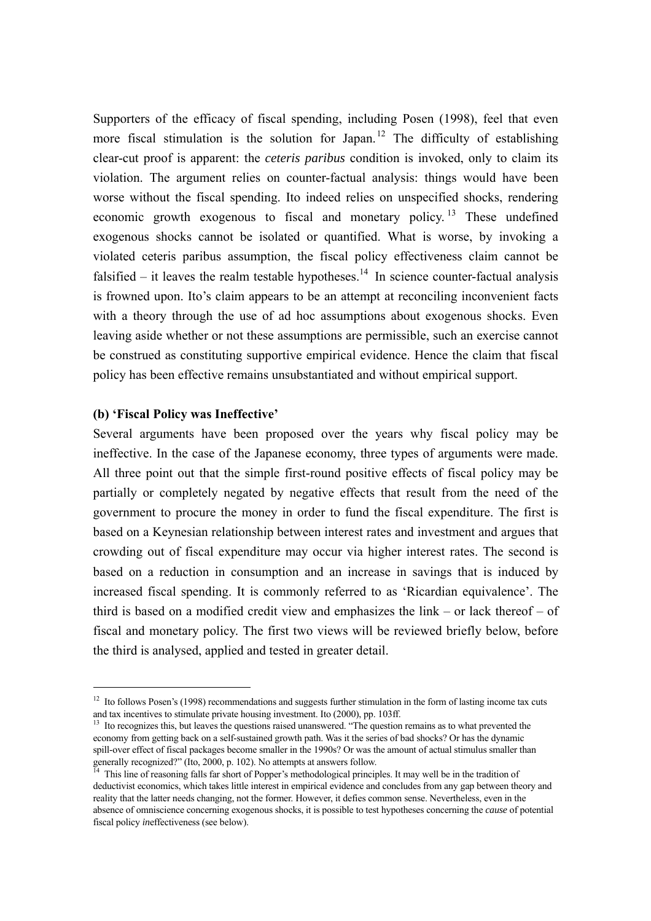Supporters of the efficacy of fiscal spending, including Posen (1998), feel that even more fiscal stimulation is the solution for Japan.<sup>12</sup> The difficulty of establishing clear-cut proof is apparent: the *ceteris paribus* condition is invoked, only to claim its violation. The argument relies on counter-factual analysis: things would have been worse without the fiscal spending. Ito indeed relies on unspecified shocks, rendering economic growth exogenous to fiscal and monetary policy.<sup>13</sup> These undefined exogenous shocks cannot be isolated or quantified. What is worse, by invoking a violated ceteris paribus assumption, the fiscal policy effectiveness claim cannot be falsified – it leaves the realm testable hypotheses.<sup>14</sup> In science counter-factual analysis is frowned upon. Ito's claim appears to be an attempt at reconciling inconvenient facts with a theory through the use of ad hoc assumptions about exogenous shocks. Even leaving aside whether or not these assumptions are permissible, such an exercise cannot be construed as constituting supportive empirical evidence. Hence the claim that fiscal policy has been effective remains unsubstantiated and without empirical support.

## **(b) 'Fiscal Policy was Ineffective'**

 $\overline{a}$ 

Several arguments have been proposed over the years why fiscal policy may be ineffective. In the case of the Japanese economy, three types of arguments were made. All three point out that the simple first-round positive effects of fiscal policy may be partially or completely negated by negative effects that result from the need of the government to procure the money in order to fund the fiscal expenditure. The first is based on a Keynesian relationship between interest rates and investment and argues that crowding out of fiscal expenditure may occur via higher interest rates. The second is based on a reduction in consumption and an increase in savings that is induced by increased fiscal spending. It is commonly referred to as 'Ricardian equivalence'. The third is based on a modified credit view and emphasizes the link – or lack thereof – of fiscal and monetary policy. The first two views will be reviewed briefly below, before the third is analysed, applied and tested in greater detail.

<sup>&</sup>lt;sup>12</sup> Ito follows Posen's (1998) recommendations and suggests further stimulation in the form of lasting income tax cuts and tax incentives to stimulate private housing investment. Ito (2000), pp. 103ff.

<sup>&</sup>lt;sup>13</sup> Ito recognizes this, but leaves the questions raised unanswered. "The question remains as to what prevented the economy from getting back on a self-sustained growth path. Was it the series of bad shocks? Or has the dynamic spill-over effect of fiscal packages become smaller in the 1990s? Or was the amount of actual stimulus smaller than generally recognized?" (Ito, 2000, p. 102). No attempts at answers follow.

<sup>&</sup>lt;sup>14</sup> This line of reasoning falls far short of Popper's methodological principles. It may well be in the tradition of deductivist economics, which takes little interest in empirical evidence and concludes from any gap between theory and reality that the latter needs changing, not the former. However, it defies common sense. Nevertheless, even in the absence of omniscience concerning exogenous shocks, it is possible to test hypotheses concerning the *cause* of potential fiscal policy *in*effectiveness (see below).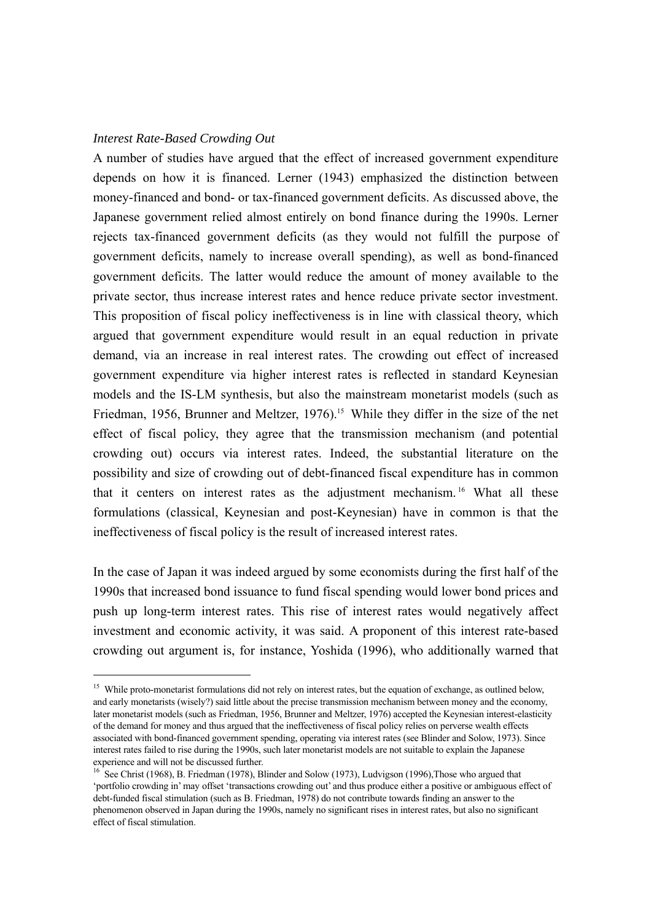#### *Interest Rate-Based Crowding Out*

 $\overline{a}$ 

A number of studies have argued that the effect of increased government expenditure depends on how it is financed. Lerner (1943) emphasized the distinction between money-financed and bond- or tax-financed government deficits. As discussed above, the Japanese government relied almost entirely on bond finance during the 1990s. Lerner rejects tax-financed government deficits (as they would not fulfill the purpose of government deficits, namely to increase overall spending), as well as bond-financed government deficits. The latter would reduce the amount of money available to the private sector, thus increase interest rates and hence reduce private sector investment. This proposition of fiscal policy ineffectiveness is in line with classical theory, which argued that government expenditure would result in an equal reduction in private demand, via an increase in real interest rates. The crowding out effect of increased government expenditure via higher interest rates is reflected in standard Keynesian models and the IS-LM synthesis, but also the mainstream monetarist models (such as Friedman, 1956, Brunner and Meltzer, 1976).<sup>15</sup> While they differ in the size of the net effect of fiscal policy, they agree that the transmission mechanism (and potential crowding out) occurs via interest rates. Indeed, the substantial literature on the possibility and size of crowding out of debt-financed fiscal expenditure has in common that it centers on interest rates as the adjustment mechanism. 16 What all these formulations (classical, Keynesian and post-Keynesian) have in common is that the ineffectiveness of fiscal policy is the result of increased interest rates.

In the case of Japan it was indeed argued by some economists during the first half of the 1990s that increased bond issuance to fund fiscal spending would lower bond prices and push up long-term interest rates. This rise of interest rates would negatively affect investment and economic activity, it was said. A proponent of this interest rate-based crowding out argument is, for instance, Yoshida (1996), who additionally warned that

<sup>&</sup>lt;sup>15</sup> While proto-monetarist formulations did not rely on interest rates, but the equation of exchange, as outlined below, and early monetarists (wisely?) said little about the precise transmission mechanism between money and the economy, later monetarist models (such as Friedman, 1956, Brunner and Meltzer, 1976) accepted the Keynesian interest-elasticity of the demand for money and thus argued that the ineffectiveness of fiscal policy relies on perverse wealth effects associated with bond-financed government spending, operating via interest rates (see Blinder and Solow, 1973). Since interest rates failed to rise during the 1990s, such later monetarist models are not suitable to explain the Japanese experience and will not be discussed further.

<sup>&</sup>lt;sup>16</sup> See Christ (1968), B. Friedman (1978), Blinder and Solow (1973), Ludvigson (1996), Those who argued that 'portfolio crowding in' may offset 'transactions crowding out' and thus produce either a positive or ambiguous effect of debt-funded fiscal stimulation (such as B. Friedman, 1978) do not contribute towards finding an answer to the phenomenon observed in Japan during the 1990s, namely no significant rises in interest rates, but also no significant effect of fiscal stimulation.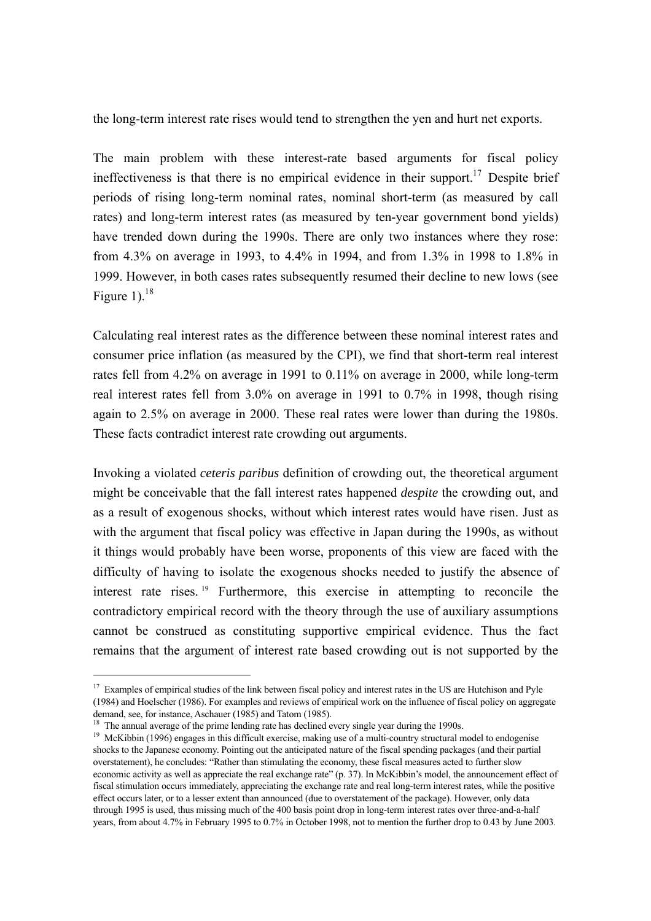the long-term interest rate rises would tend to strengthen the yen and hurt net exports.

The main problem with these interest-rate based arguments for fiscal policy ineffectiveness is that there is no empirical evidence in their support.<sup>17</sup> Despite brief periods of rising long-term nominal rates, nominal short-term (as measured by call rates) and long-term interest rates (as measured by ten-year government bond yields) have trended down during the 1990s. There are only two instances where they rose: from 4.3% on average in 1993, to 4.4% in 1994, and from 1.3% in 1998 to 1.8% in 1999. However, in both cases rates subsequently resumed their decline to new lows (see Figure 1).<sup>18</sup>

Calculating real interest rates as the difference between these nominal interest rates and consumer price inflation (as measured by the CPI), we find that short-term real interest rates fell from 4.2% on average in 1991 to 0.11% on average in 2000, while long-term real interest rates fell from 3.0% on average in 1991 to 0.7% in 1998, though rising again to 2.5% on average in 2000. These real rates were lower than during the 1980s. These facts contradict interest rate crowding out arguments.

Invoking a violated *ceteris paribus* definition of crowding out, the theoretical argument might be conceivable that the fall interest rates happened *despite* the crowding out, and as a result of exogenous shocks, without which interest rates would have risen. Just as with the argument that fiscal policy was effective in Japan during the 1990s, as without it things would probably have been worse, proponents of this view are faced with the difficulty of having to isolate the exogenous shocks needed to justify the absence of interest rate rises. 19 Furthermore, this exercise in attempting to reconcile the contradictory empirical record with the theory through the use of auxiliary assumptions cannot be construed as constituting supportive empirical evidence. Thus the fact remains that the argument of interest rate based crowding out is not supported by the

 $\overline{a}$ 

 $17$  Examples of empirical studies of the link between fiscal policy and interest rates in the US are Hutchison and Pyle (1984) and Hoelscher (1986). For examples and reviews of empirical work on the influence of fiscal policy on aggregate

 $18$  The annual average of the prime lending rate has declined every single year during the 1990s.

<sup>&</sup>lt;sup>19</sup> McKibbin (1996) engages in this difficult exercise, making use of a multi-country structural model to endogenise shocks to the Japanese economy. Pointing out the anticipated nature of the fiscal spending packages (and their partial overstatement), he concludes: "Rather than stimulating the economy, these fiscal measures acted to further slow economic activity as well as appreciate the real exchange rate" (p. 37). In McKibbin's model, the announcement effect of fiscal stimulation occurs immediately, appreciating the exchange rate and real long-term interest rates, while the positive effect occurs later, or to a lesser extent than announced (due to overstatement of the package). However, only data through 1995 is used, thus missing much of the 400 basis point drop in long-term interest rates over three-and-a-half years, from about 4.7% in February 1995 to 0.7% in October 1998, not to mention the further drop to 0.43 by June 2003.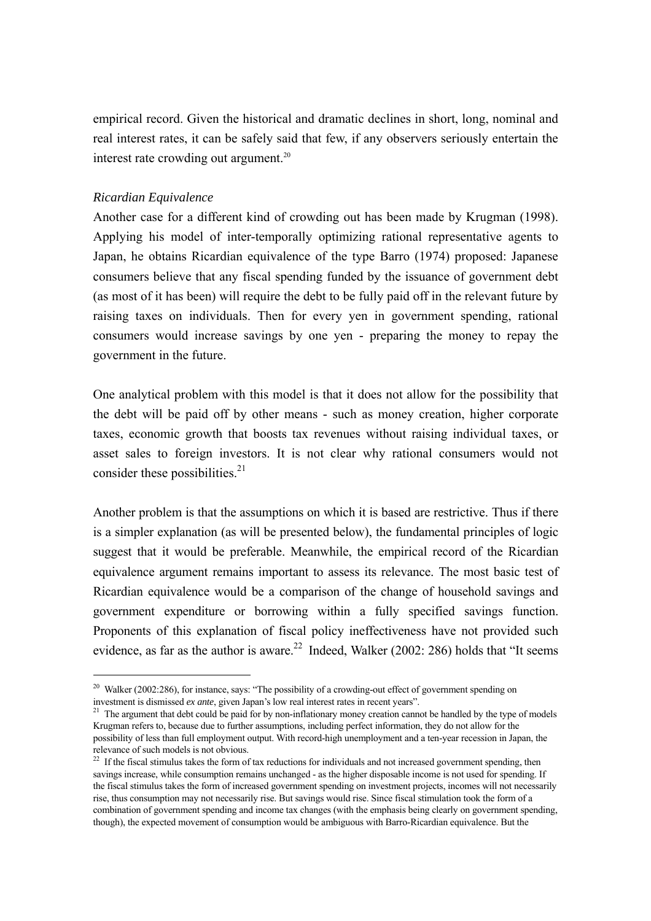empirical record. Given the historical and dramatic declines in short, long, nominal and real interest rates, it can be safely said that few, if any observers seriously entertain the interest rate crowding out argument.<sup>20</sup>

## *Ricardian Equivalence*

 $\overline{a}$ 

Another case for a different kind of crowding out has been made by Krugman (1998). Applying his model of inter-temporally optimizing rational representative agents to Japan, he obtains Ricardian equivalence of the type Barro (1974) proposed: Japanese consumers believe that any fiscal spending funded by the issuance of government debt (as most of it has been) will require the debt to be fully paid off in the relevant future by raising taxes on individuals. Then for every yen in government spending, rational consumers would increase savings by one yen - preparing the money to repay the government in the future.

One analytical problem with this model is that it does not allow for the possibility that the debt will be paid off by other means - such as money creation, higher corporate taxes, economic growth that boosts tax revenues without raising individual taxes, or asset sales to foreign investors. It is not clear why rational consumers would not consider these possibilities. $^{21}$ 

Another problem is that the assumptions on which it is based are restrictive. Thus if there is a simpler explanation (as will be presented below), the fundamental principles of logic suggest that it would be preferable. Meanwhile, the empirical record of the Ricardian equivalence argument remains important to assess its relevance. The most basic test of Ricardian equivalence would be a comparison of the change of household savings and government expenditure or borrowing within a fully specified savings function. Proponents of this explanation of fiscal policy ineffectiveness have not provided such evidence, as far as the author is aware.<sup>22</sup> Indeed, Walker (2002: 286) holds that "It seems

<sup>&</sup>lt;sup>20</sup> Walker (2002:286), for instance, says: "The possibility of a crowding-out effect of government spending on investment is dismissed *ex ante*, given Japan's low real interest rates in recent years".

<sup>&</sup>lt;sup>21</sup> The argument that debt could be paid for by non-inflationary money creation cannot be handled by the type of models Krugman refers to, because due to further assumptions, including perfect information, they do not allow for the possibility of less than full employment output. With record-high unemployment and a ten-year recession in Japan, the relevance of such models is not obvious.

 $22$  If the fiscal stimulus takes the form of tax reductions for individuals and not increased government spending, then savings increase, while consumption remains unchanged - as the higher disposable income is not used for spending. If the fiscal stimulus takes the form of increased government spending on investment projects, incomes will not necessarily rise, thus consumption may not necessarily rise. But savings would rise. Since fiscal stimulation took the form of a combination of government spending and income tax changes (with the emphasis being clearly on government spending, though), the expected movement of consumption would be ambiguous with Barro-Ricardian equivalence. But the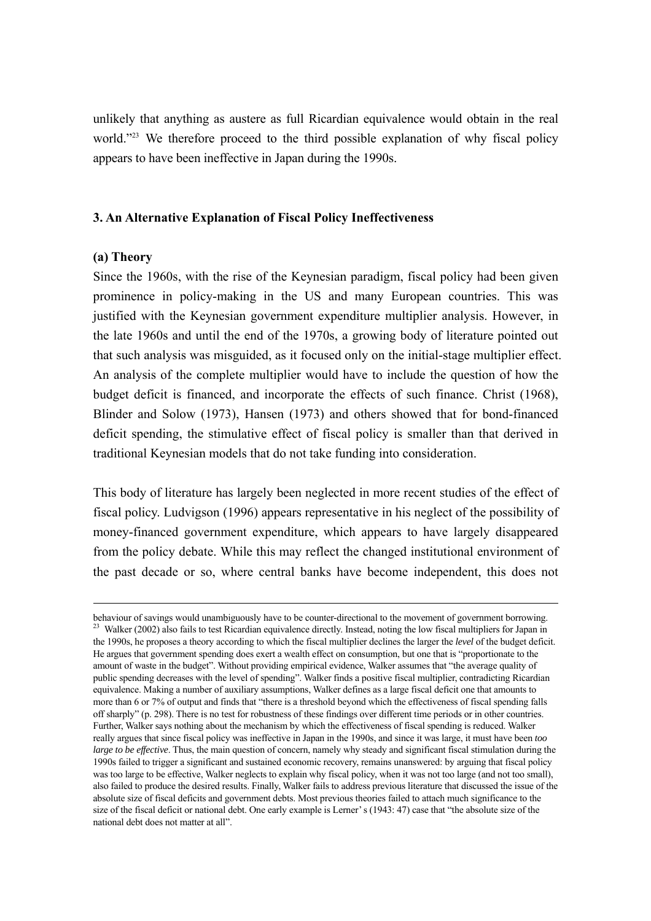unlikely that anything as austere as full Ricardian equivalence would obtain in the real world."<sup>23</sup> We therefore proceed to the third possible explanation of why fiscal policy appears to have been ineffective in Japan during the 1990s.

#### **3. An Alternative Explanation of Fiscal Policy Ineffectiveness**

#### **(a) Theory**

1

Since the 1960s, with the rise of the Keynesian paradigm, fiscal policy had been given prominence in policy-making in the US and many European countries. This was justified with the Keynesian government expenditure multiplier analysis. However, in the late 1960s and until the end of the 1970s, a growing body of literature pointed out that such analysis was misguided, as it focused only on the initial-stage multiplier effect. An analysis of the complete multiplier would have to include the question of how the budget deficit is financed, and incorporate the effects of such finance. Christ (1968), Blinder and Solow (1973), Hansen (1973) and others showed that for bond-financed deficit spending, the stimulative effect of fiscal policy is smaller than that derived in traditional Keynesian models that do not take funding into consideration.

This body of literature has largely been neglected in more recent studies of the effect of fiscal policy. Ludvigson (1996) appears representative in his neglect of the possibility of money-financed government expenditure, which appears to have largely disappeared from the policy debate. While this may reflect the changed institutional environment of the past decade or so, where central banks have become independent, this does not

behaviour of savings would unambiguously have to be counter-directional to the movement of government borrowing.<br><sup>23</sup> Walker (2002) also fails to test Ricardian equivalence directly. Instead, noting the low fiscal multipli the 1990s, he proposes a theory according to which the fiscal multiplier declines the larger the *level* of the budget deficit. He argues that government spending does exert a wealth effect on consumption, but one that is "proportionate to the amount of waste in the budget". Without providing empirical evidence, Walker assumes that "the average quality of public spending decreases with the level of spending". Walker finds a positive fiscal multiplier, contradicting Ricardian equivalence. Making a number of auxiliary assumptions, Walker defines as a large fiscal deficit one that amounts to more than 6 or 7% of output and finds that "there is a threshold beyond which the effectiveness of fiscal spending falls off sharply" (p. 298). There is no test for robustness of these findings over different time periods or in other countries. Further, Walker says nothing about the mechanism by which the effectiveness of fiscal spending is reduced. Walker really argues that since fiscal policy was ineffective in Japan in the 1990s, and since it was large, it must have been *too large to be effective*. Thus, the main question of concern, namely why steady and significant fiscal stimulation during the 1990s failed to trigger a significant and sustained economic recovery, remains unanswered: by arguing that fiscal policy was too large to be effective, Walker neglects to explain why fiscal policy, when it was not too large (and not too small), also failed to produce the desired results. Finally, Walker fails to address previous literature that discussed the issue of the absolute size of fiscal deficits and government debts. Most previous theories failed to attach much significance to the size of the fiscal deficit or national debt. One early example is Lerner' s (1943: 47) case that "the absolute size of the national debt does not matter at all".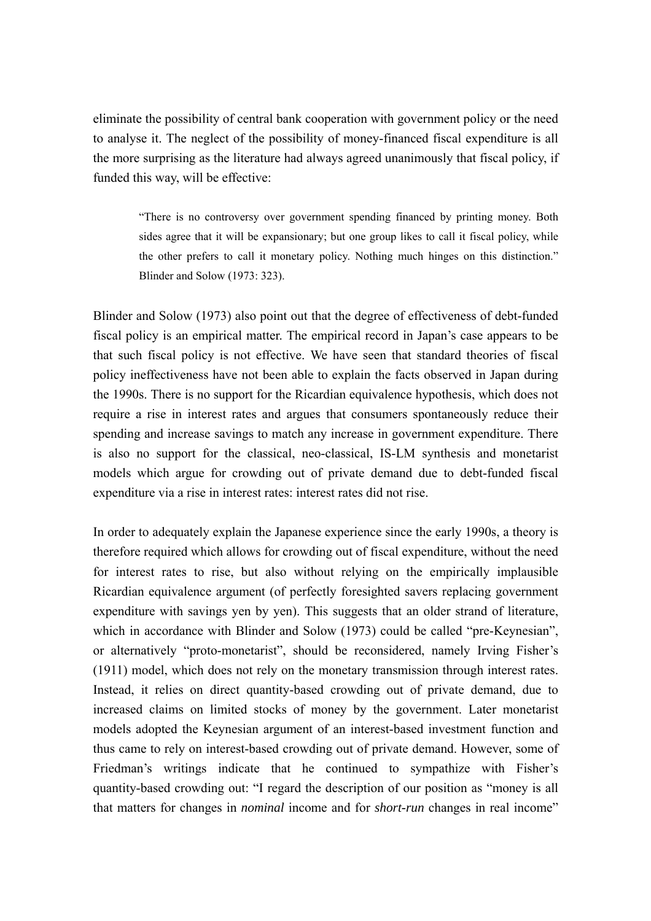eliminate the possibility of central bank cooperation with government policy or the need to analyse it. The neglect of the possibility of money-financed fiscal expenditure is all the more surprising as the literature had always agreed unanimously that fiscal policy, if funded this way, will be effective:

"There is no controversy over government spending financed by printing money. Both sides agree that it will be expansionary; but one group likes to call it fiscal policy, while the other prefers to call it monetary policy. Nothing much hinges on this distinction." Blinder and Solow (1973: 323).

Blinder and Solow (1973) also point out that the degree of effectiveness of debt-funded fiscal policy is an empirical matter. The empirical record in Japan's case appears to be that such fiscal policy is not effective. We have seen that standard theories of fiscal policy ineffectiveness have not been able to explain the facts observed in Japan during the 1990s. There is no support for the Ricardian equivalence hypothesis, which does not require a rise in interest rates and argues that consumers spontaneously reduce their spending and increase savings to match any increase in government expenditure. There is also no support for the classical, neo-classical, IS-LM synthesis and monetarist models which argue for crowding out of private demand due to debt-funded fiscal expenditure via a rise in interest rates: interest rates did not rise.

In order to adequately explain the Japanese experience since the early 1990s, a theory is therefore required which allows for crowding out of fiscal expenditure, without the need for interest rates to rise, but also without relying on the empirically implausible Ricardian equivalence argument (of perfectly foresighted savers replacing government expenditure with savings yen by yen). This suggests that an older strand of literature, which in accordance with Blinder and Solow (1973) could be called "pre-Keynesian", or alternatively "proto-monetarist", should be reconsidered, namely Irving Fisher's (1911) model, which does not rely on the monetary transmission through interest rates. Instead, it relies on direct quantity-based crowding out of private demand, due to increased claims on limited stocks of money by the government. Later monetarist models adopted the Keynesian argument of an interest-based investment function and thus came to rely on interest-based crowding out of private demand. However, some of Friedman's writings indicate that he continued to sympathize with Fisher's quantity-based crowding out: "I regard the description of our position as "money is all that matters for changes in *nominal* income and for *short-run* changes in real income"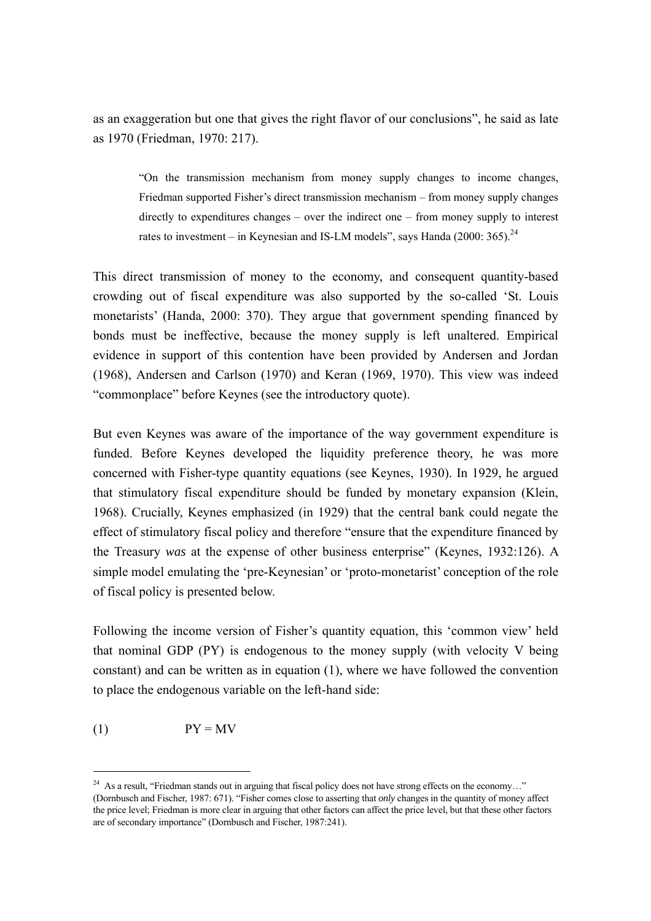as an exaggeration but one that gives the right flavor of our conclusions", he said as late as 1970 (Friedman, 1970: 217).

"On the transmission mechanism from money supply changes to income changes, Friedman supported Fisher's direct transmission mechanism – from money supply changes directly to expenditures changes – over the indirect one – from money supply to interest rates to investment – in Keynesian and IS-LM models", says Handa (2000: 365).<sup>24</sup>

This direct transmission of money to the economy, and consequent quantity-based crowding out of fiscal expenditure was also supported by the so-called 'St. Louis monetarists' (Handa, 2000: 370). They argue that government spending financed by bonds must be ineffective, because the money supply is left unaltered. Empirical evidence in support of this contention have been provided by Andersen and Jordan (1968), Andersen and Carlson (1970) and Keran (1969, 1970). This view was indeed "commonplace" before Keynes (see the introductory quote).

But even Keynes was aware of the importance of the way government expenditure is funded. Before Keynes developed the liquidity preference theory, he was more concerned with Fisher-type quantity equations (see Keynes, 1930). In 1929, he argued that stimulatory fiscal expenditure should be funded by monetary expansion (Klein, 1968). Crucially, Keynes emphasized (in 1929) that the central bank could negate the effect of stimulatory fiscal policy and therefore "ensure that the expenditure financed by the Treasury *was* at the expense of other business enterprise" (Keynes, 1932:126). A simple model emulating the 'pre-Keynesian' or 'proto-monetarist' conception of the role of fiscal policy is presented below.

Following the income version of Fisher's quantity equation, this 'common view' held that nominal GDP (PY) is endogenous to the money supply (with velocity V being constant) and can be written as in equation (1), where we have followed the convention to place the endogenous variable on the left-hand side:

$$
(1) \t\t\t PY = MV
$$

 $\overline{a}$ 

<sup>&</sup>lt;sup>24</sup> As a result, "Friedman stands out in arguing that fiscal policy does not have strong effects on the economy..." (Dornbusch and Fischer, 1987: 671). "Fisher comes close to asserting that *only* changes in the quantity of money affect the price level; Friedman is more clear in arguing that other factors can affect the price level, but that these other factors are of secondary importance" (Dornbusch and Fischer, 1987:241).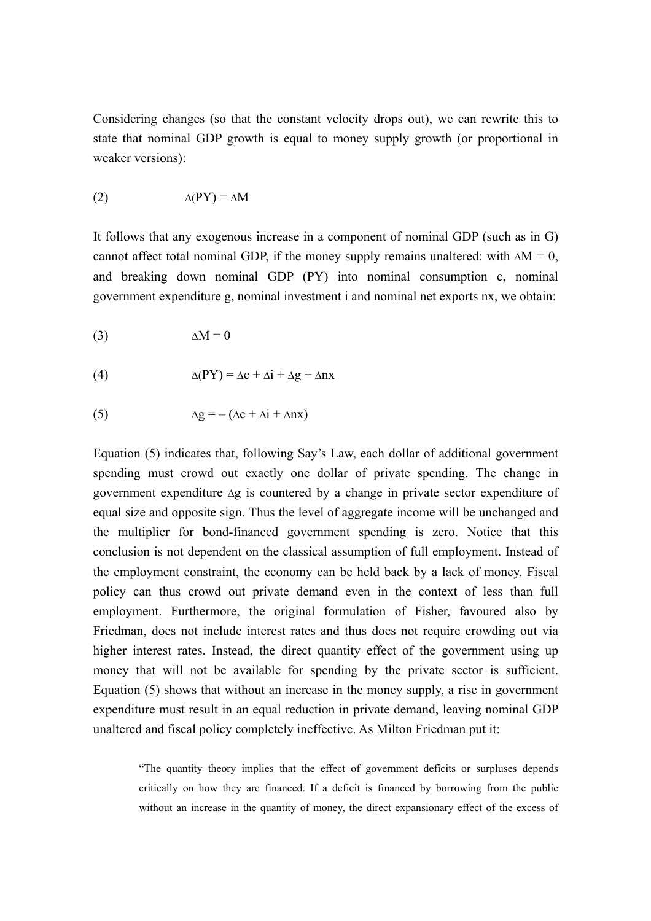Considering changes (so that the constant velocity drops out), we can rewrite this to state that nominal GDP growth is equal to money supply growth (or proportional in weaker versions):

$$
\Delta(PY) = \Delta M
$$

It follows that any exogenous increase in a component of nominal GDP (such as in G) cannot affect total nominal GDP, if the money supply remains unaltered: with  $\Delta M = 0$ , and breaking down nominal GDP (PY) into nominal consumption c, nominal government expenditure g, nominal investment i and nominal net exports nx, we obtain:

$$
\Delta M = 0
$$

(4) 
$$
\Delta(PY) = \Delta c + \Delta i + \Delta g + \Delta nx
$$

(5) 
$$
\Delta g = -(\Delta c + \Delta i + \Delta n x)
$$

Equation (5) indicates that, following Say's Law, each dollar of additional government spending must crowd out exactly one dollar of private spending. The change in government expenditure ∆g is countered by a change in private sector expenditure of equal size and opposite sign. Thus the level of aggregate income will be unchanged and the multiplier for bond-financed government spending is zero. Notice that this conclusion is not dependent on the classical assumption of full employment. Instead of the employment constraint, the economy can be held back by a lack of money. Fiscal policy can thus crowd out private demand even in the context of less than full employment. Furthermore, the original formulation of Fisher, favoured also by Friedman, does not include interest rates and thus does not require crowding out via higher interest rates. Instead, the direct quantity effect of the government using up money that will not be available for spending by the private sector is sufficient. Equation (5) shows that without an increase in the money supply, a rise in government expenditure must result in an equal reduction in private demand, leaving nominal GDP unaltered and fiscal policy completely ineffective. As Milton Friedman put it:

"The quantity theory implies that the effect of government deficits or surpluses depends critically on how they are financed. If a deficit is financed by borrowing from the public without an increase in the quantity of money, the direct expansionary effect of the excess of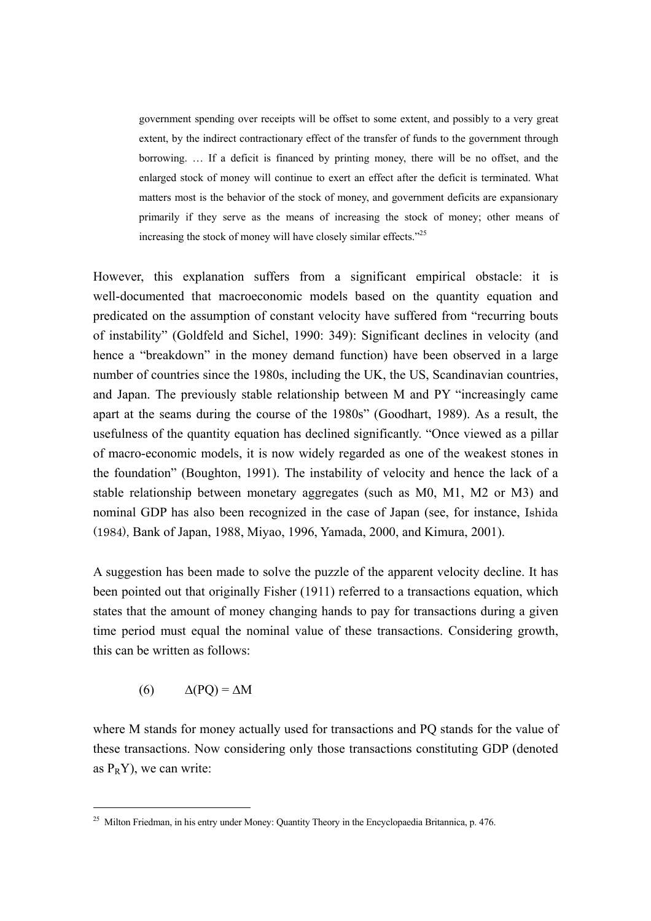government spending over receipts will be offset to some extent, and possibly to a very great extent, by the indirect contractionary effect of the transfer of funds to the government through borrowing. … If a deficit is financed by printing money, there will be no offset, and the enlarged stock of money will continue to exert an effect after the deficit is terminated. What matters most is the behavior of the stock of money, and government deficits are expansionary primarily if they serve as the means of increasing the stock of money; other means of increasing the stock of money will have closely similar effects."25

However, this explanation suffers from a significant empirical obstacle: it is well-documented that macroeconomic models based on the quantity equation and predicated on the assumption of constant velocity have suffered from "recurring bouts of instability" (Goldfeld and Sichel, 1990: 349): Significant declines in velocity (and hence a "breakdown" in the money demand function) have been observed in a large number of countries since the 1980s, including the UK, the US, Scandinavian countries, and Japan. The previously stable relationship between M and PY "increasingly came apart at the seams during the course of the 1980s" (Goodhart, 1989). As a result, the usefulness of the quantity equation has declined significantly. "Once viewed as a pillar of macro-economic models, it is now widely regarded as one of the weakest stones in the foundation" (Boughton, 1991). The instability of velocity and hence the lack of a stable relationship between monetary aggregates (such as M0, M1, M2 or M3) and nominal GDP has also been recognized in the case of Japan (see, for instance, Ishida (1984), Bank of Japan, 1988, Miyao, 1996, Yamada, 2000, and Kimura, 2001).

A suggestion has been made to solve the puzzle of the apparent velocity decline. It has been pointed out that originally Fisher (1911) referred to a transactions equation, which states that the amount of money changing hands to pay for transactions during a given time period must equal the nominal value of these transactions. Considering growth, this can be written as follows:

$$
(6) \qquad \Delta(PQ) = \Delta M
$$

 $\overline{a}$ 

where M stands for money actually used for transactions and PQ stands for the value of these transactions. Now considering only those transactions constituting GDP (denoted as  $P_RY$ ), we can write:

<sup>&</sup>lt;sup>25</sup> Milton Friedman, in his entry under Money: Quantity Theory in the Encyclopaedia Britannica, p. 476.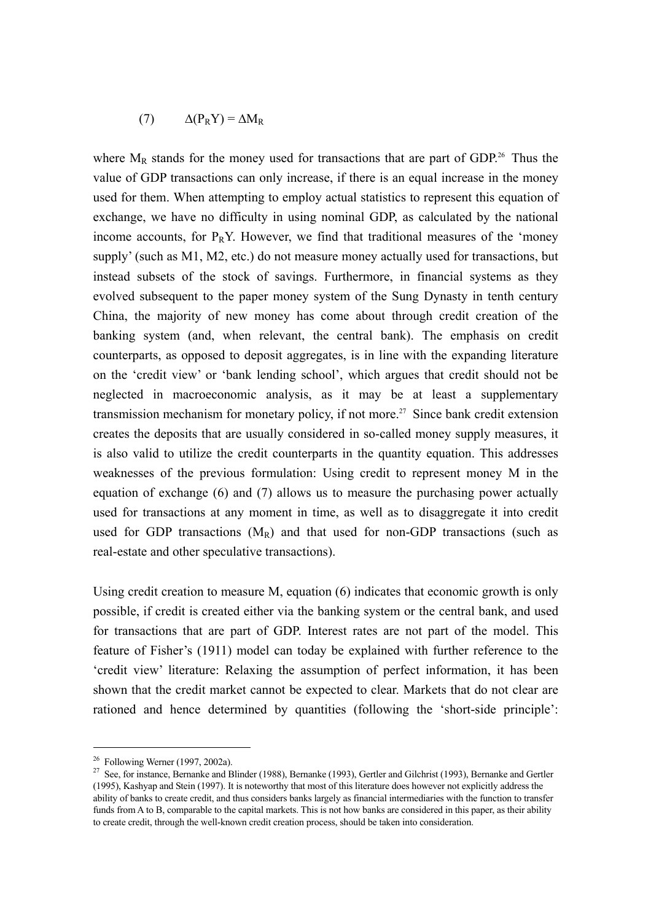$$
(7) \qquad \Delta(P_R Y) = \Delta M_R
$$

where  $M_R$  stands for the money used for transactions that are part of GDP.<sup>26</sup> Thus the value of GDP transactions can only increase, if there is an equal increase in the money used for them. When attempting to employ actual statistics to represent this equation of exchange, we have no difficulty in using nominal GDP, as calculated by the national income accounts, for  $P_RY$ . However, we find that traditional measures of the 'money supply' (such as M1, M2, etc.) do not measure money actually used for transactions, but instead subsets of the stock of savings. Furthermore, in financial systems as they evolved subsequent to the paper money system of the Sung Dynasty in tenth century China, the majority of new money has come about through credit creation of the banking system (and, when relevant, the central bank). The emphasis on credit counterparts, as opposed to deposit aggregates, is in line with the expanding literature on the 'credit view' or 'bank lending school', which argues that credit should not be neglected in macroeconomic analysis, as it may be at least a supplementary transmission mechanism for monetary policy, if not more.<sup>27</sup> Since bank credit extension creates the deposits that are usually considered in so-called money supply measures, it is also valid to utilize the credit counterparts in the quantity equation. This addresses weaknesses of the previous formulation: Using credit to represent money M in the equation of exchange (6) and (7) allows us to measure the purchasing power actually used for transactions at any moment in time, as well as to disaggregate it into credit used for GDP transactions  $(M_R)$  and that used for non-GDP transactions (such as real-estate and other speculative transactions).

Using credit creation to measure M, equation (6) indicates that economic growth is only possible, if credit is created either via the banking system or the central bank, and used for transactions that are part of GDP. Interest rates are not part of the model. This feature of Fisher's (1911) model can today be explained with further reference to the 'credit view' literature: Relaxing the assumption of perfect information, it has been shown that the credit market cannot be expected to clear. Markets that do not clear are rationed and hence determined by quantities (following the 'short-side principle':

 $\overline{a}$ 

 $26$  Following Werner (1997, 2002a).

<sup>&</sup>lt;sup>27</sup> See, for instance, Bernanke and Blinder (1988), Bernanke (1993), Gertler and Gilchrist (1993), Bernanke and Gertler (1995), Kashyap and Stein (1997). It is noteworthy that most of this literature does however not explicitly address the ability of banks to create credit, and thus considers banks largely as financial intermediaries with the function to transfer funds from A to B, comparable to the capital markets. This is not how banks are considered in this paper, as their ability to create credit, through the well-known credit creation process, should be taken into consideration.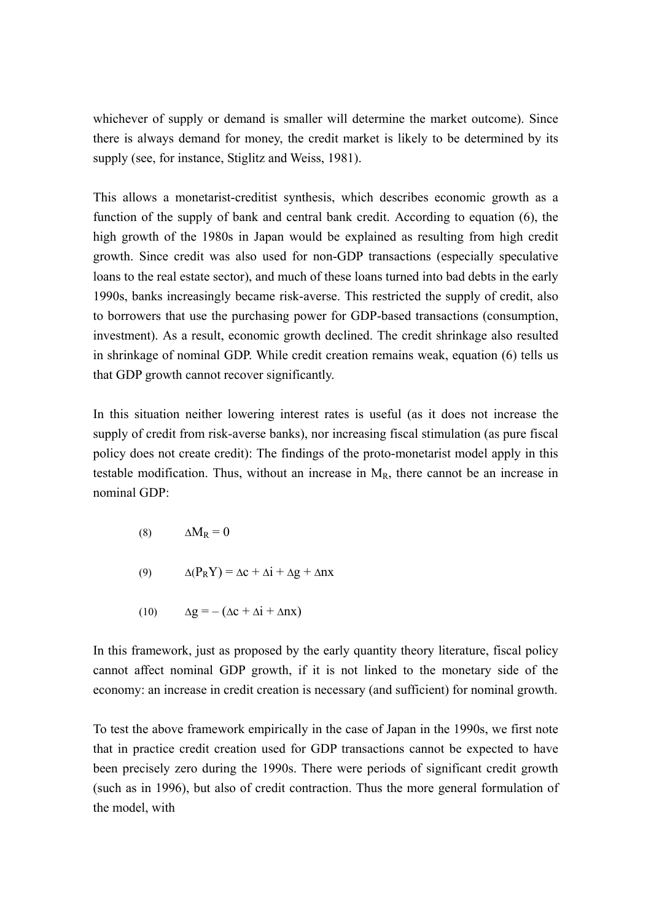whichever of supply or demand is smaller will determine the market outcome). Since there is always demand for money, the credit market is likely to be determined by its supply (see, for instance, Stiglitz and Weiss, 1981).

This allows a monetarist-creditist synthesis, which describes economic growth as a function of the supply of bank and central bank credit. According to equation (6), the high growth of the 1980s in Japan would be explained as resulting from high credit growth. Since credit was also used for non-GDP transactions (especially speculative loans to the real estate sector), and much of these loans turned into bad debts in the early 1990s, banks increasingly became risk-averse. This restricted the supply of credit, also to borrowers that use the purchasing power for GDP-based transactions (consumption, investment). As a result, economic growth declined. The credit shrinkage also resulted in shrinkage of nominal GDP. While credit creation remains weak, equation (6) tells us that GDP growth cannot recover significantly.

In this situation neither lowering interest rates is useful (as it does not increase the supply of credit from risk-averse banks), nor increasing fiscal stimulation (as pure fiscal policy does not create credit): The findings of the proto-monetarist model apply in this testable modification. Thus, without an increase in  $M_R$ , there cannot be an increase in nominal GDP:

- (8)  $\Delta M_R = 0$
- (9)  $\Delta(P_RY) = \Delta c + \Delta i + \Delta g + \Delta nx$
- (10)  $\Delta g = -(\Delta c + \Delta i + \Delta n x)$

In this framework, just as proposed by the early quantity theory literature, fiscal policy cannot affect nominal GDP growth, if it is not linked to the monetary side of the economy: an increase in credit creation is necessary (and sufficient) for nominal growth.

To test the above framework empirically in the case of Japan in the 1990s, we first note that in practice credit creation used for GDP transactions cannot be expected to have been precisely zero during the 1990s. There were periods of significant credit growth (such as in 1996), but also of credit contraction. Thus the more general formulation of the model, with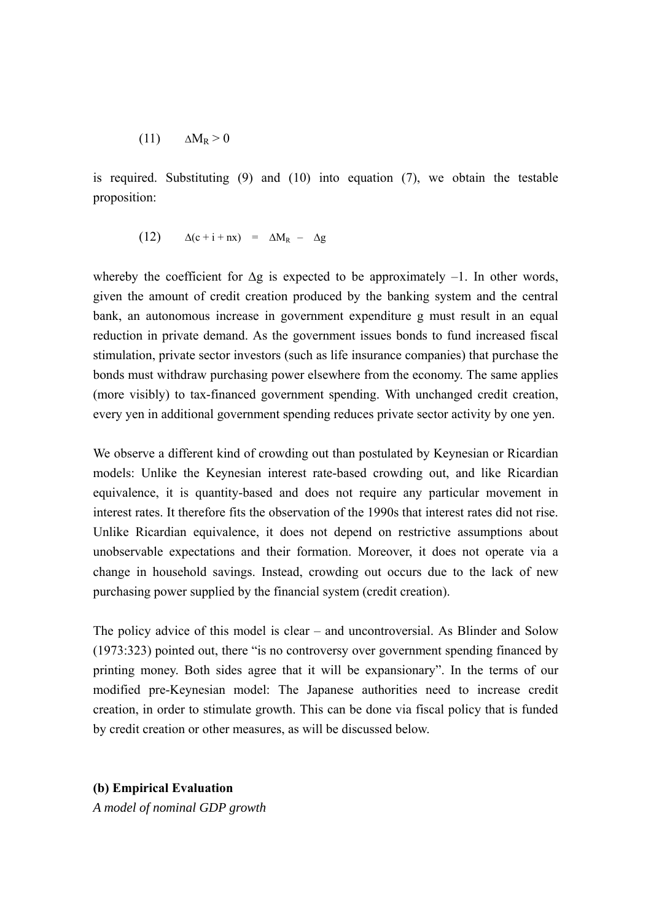$$
(11) \qquad \Delta M_R > 0
$$

is required. Substituting (9) and (10) into equation (7), we obtain the testable proposition:

$$
(12) \qquad \Delta(c+i+nx) = \Delta M_R - \Delta g
$$

whereby the coefficient for  $\Delta g$  is expected to be approximately –1. In other words, given the amount of credit creation produced by the banking system and the central bank, an autonomous increase in government expenditure g must result in an equal reduction in private demand. As the government issues bonds to fund increased fiscal stimulation, private sector investors (such as life insurance companies) that purchase the bonds must withdraw purchasing power elsewhere from the economy. The same applies (more visibly) to tax-financed government spending. With unchanged credit creation, every yen in additional government spending reduces private sector activity by one yen.

We observe a different kind of crowding out than postulated by Keynesian or Ricardian models: Unlike the Keynesian interest rate-based crowding out, and like Ricardian equivalence, it is quantity-based and does not require any particular movement in interest rates. It therefore fits the observation of the 1990s that interest rates did not rise. Unlike Ricardian equivalence, it does not depend on restrictive assumptions about unobservable expectations and their formation. Moreover, it does not operate via a change in household savings. Instead, crowding out occurs due to the lack of new purchasing power supplied by the financial system (credit creation).

The policy advice of this model is clear – and uncontroversial. As Blinder and Solow (1973:323) pointed out, there "is no controversy over government spending financed by printing money. Both sides agree that it will be expansionary". In the terms of our modified pre-Keynesian model: The Japanese authorities need to increase credit creation, in order to stimulate growth. This can be done via fiscal policy that is funded by credit creation or other measures, as will be discussed below.

**(b) Empirical Evaluation** 

*A model of nominal GDP growth*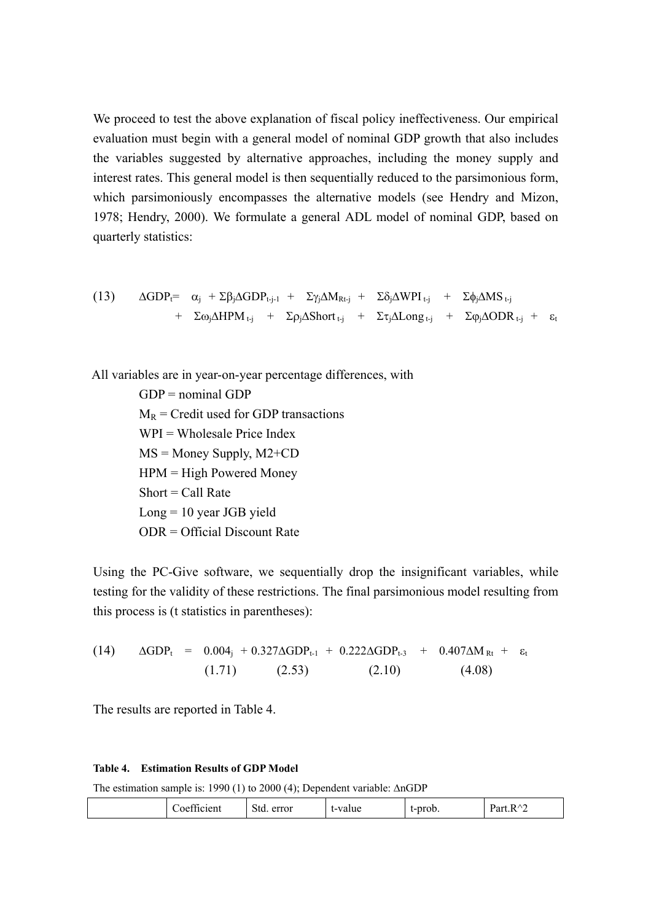We proceed to test the above explanation of fiscal policy ineffectiveness. Our empirical evaluation must begin with a general model of nominal GDP growth that also includes the variables suggested by alternative approaches, including the money supply and interest rates. This general model is then sequentially reduced to the parsimonious form, which parsimoniously encompasses the alternative models (see Hendry and Mizon, 1978; Hendry, 2000). We formulate a general ADL model of nominal GDP, based on quarterly statistics:

(13) 
$$
\Delta GDP_{t} = \alpha_{j} + \Sigma \beta_{j} \Delta GDP_{t-j-1} + \Sigma \gamma_{j} \Delta M_{Rt-j} + \Sigma \delta_{j} \Delta WPI_{t-j} + \Sigma \phi_{j} \Delta MS_{t-j} + \Sigma \omega_{j} \Delta HPM_{t-j} + \Sigma \rho_{j} \Delta Short_{t-j} + \Sigma \tau_{j} \Delta Long_{t-j} + \Sigma \phi_{j} \Delta ODR_{t-j} + \epsilon_{t}
$$

All variables are in year-on-year percentage differences, with

 $GDP =$  nominal  $GDP$  $M_R$  = Credit used for GDP transactions  $WPI = Wholesale Price Index$  $MS =$ Money Supply,  $M2+CD$  $HPM = High Powered Money$  $Short = Call Rate$  $Long = 10$  year JGB yield ODR = Official Discount Rate

Using the PC-Give software, we sequentially drop the insignificant variables, while testing for the validity of these restrictions. The final parsimonious model resulting from this process is (t statistics in parentheses):

(14) 
$$
\Delta GDP_t = 0.004_j + 0.327 \Delta GDP_{t-1} + 0.222 \Delta GDP_{t-3} + 0.407 \Delta M_{Rt} + \varepsilon_t
$$
  
(1.71) (2.53) (2.10) (4.08)

The results are reported in Table 4.

#### **Table 4. Estimation Results of GDP Model**

The estimation sample is: 1990 (1) to 2000 (4); Dependent variable: ∆nGDP

|--|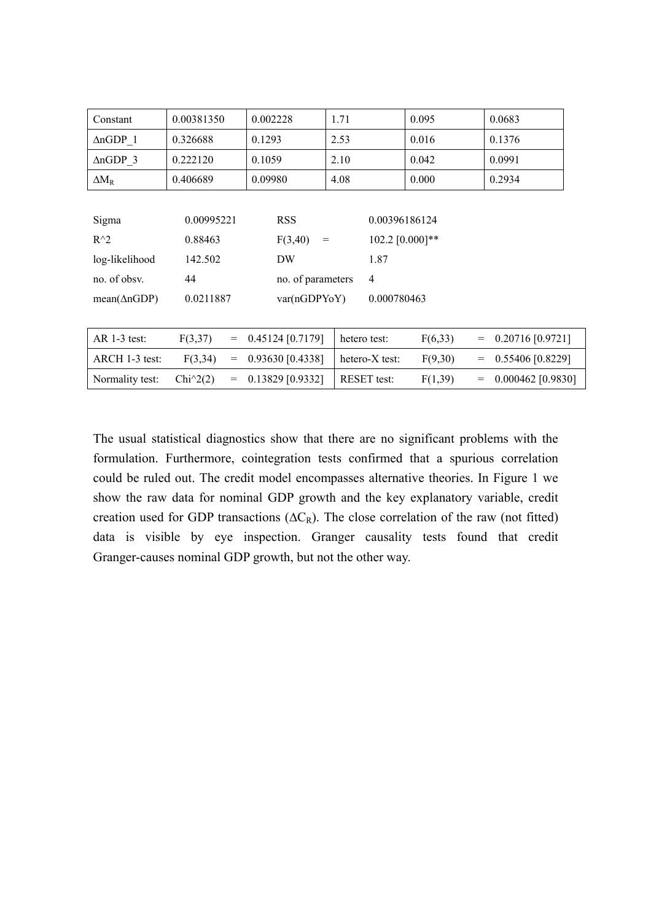| Constant               | 0.00381350        | 0.002228          | 1.71               | 0.095           | 0.0683                   |
|------------------------|-------------------|-------------------|--------------------|-----------------|--------------------------|
| $\triangle nGDP$ 1     | 0.326688          | 0.1293            | 2.53               | 0.016           | 0.1376                   |
| $\triangle nGDP$ 3     | 0.222120          | 0.1059            | 2.10               | 0.042           | 0.0991                   |
| $\Delta M_R$           | 0.406689          | 0.09980           | 4.08               | 0.000           | 0.2934                   |
|                        |                   |                   |                    |                 |                          |
| Sigma                  | 0.00995221        | <b>RSS</b>        | 0.00396186124      |                 |                          |
| $R^{\wedge}2$          | 0.88463           | F(3,40)<br>$=$    |                    | 102.2 [0.000]** |                          |
| log-likelihood         | 142.502           | DW                | 1.87               |                 |                          |
| no. of obsy.           | 44                | no. of parameters | $\overline{4}$     |                 |                          |
| $mean(\triangle nGDP)$ | 0.0211887         | var(nGDPYoY)      | 0.000780463        |                 |                          |
|                        |                   |                   |                    |                 |                          |
| $AR$ 1-3 test:         | F(3,37)<br>$=$    | 0.45124 [0.7179]  | hetero test:       | F(6,33)         | 0.20716 [0.9721]<br>$=$  |
| ARCH 1-3 test:         | F(3,34)<br>$=$    | 0.93630 [0.4338]  | hetero-X test:     | F(9,30)         | 0.55406 [0.8229]<br>$=$  |
| Normality test:        | $Chi^2(2)$<br>$=$ | 0.13829 [0.9332]  | <b>RESET</b> test: | F(1,39)         | 0.000462 [0.9830]<br>$=$ |

The usual statistical diagnostics show that there are no significant problems with the formulation. Furthermore, cointegration tests confirmed that a spurious correlation could be ruled out. The credit model encompasses alternative theories. In Figure 1 we show the raw data for nominal GDP growth and the key explanatory variable, credit creation used for GDP transactions ( $\Delta C_R$ ). The close correlation of the raw (not fitted) data is visible by eye inspection. Granger causality tests found that credit Granger-causes nominal GDP growth, but not the other way.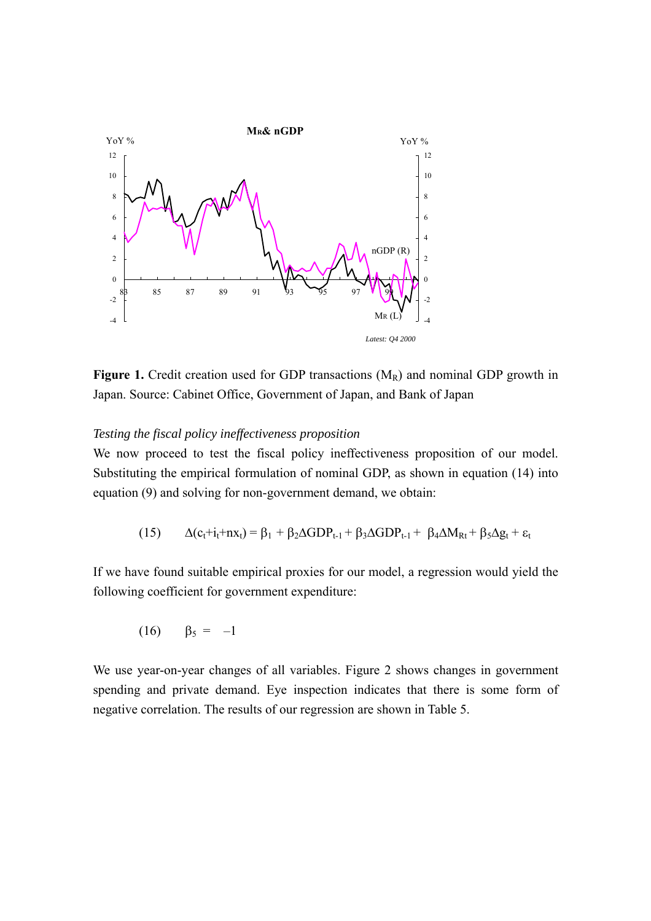

**Figure 1.** Credit creation used for GDP transactions (M<sub>R</sub>) and nominal GDP growth in Japan. Source: Cabinet Office, Government of Japan, and Bank of Japan

#### *Testing the fiscal policy ineffectiveness proposition*

We now proceed to test the fiscal policy ineffectiveness proposition of our model. Substituting the empirical formulation of nominal GDP, as shown in equation (14) into equation (9) and solving for non-government demand, we obtain:

$$
(15) \qquad \Delta(c_t+i_t+n x_t)=\beta_1+\beta_2\Delta GDP_{t-1}+\beta_3\Delta GDP_{t-1}+\beta_4\Delta M_{Rt}+\beta_5\Delta g_t+\epsilon_t
$$

If we have found suitable empirical proxies for our model, a regression would yield the following coefficient for government expenditure:

$$
(16) \qquad \beta_5 = -1
$$

We use year-on-year changes of all variables. Figure 2 shows changes in government spending and private demand. Eye inspection indicates that there is some form of negative correlation. The results of our regression are shown in Table 5.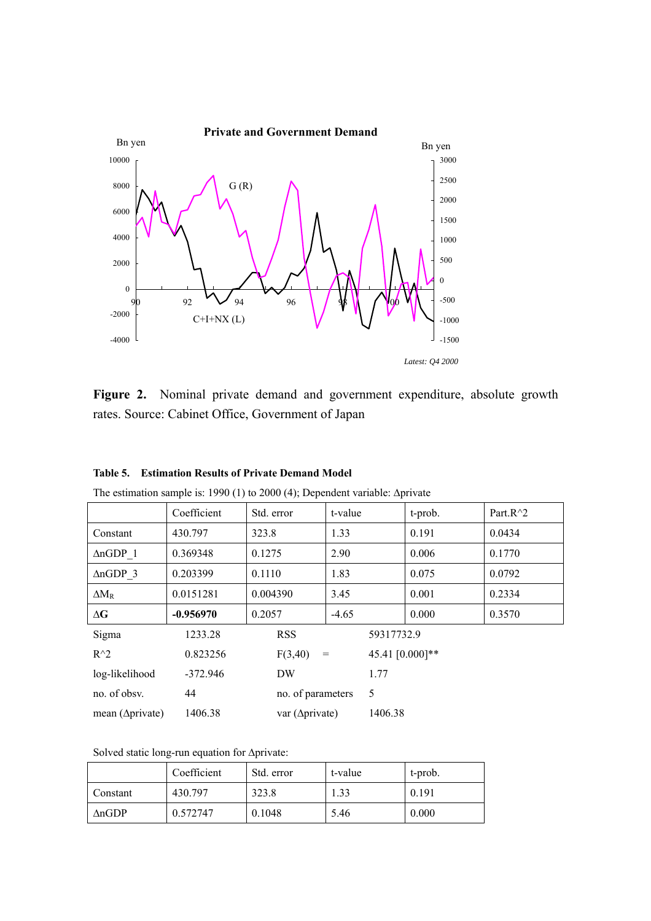

Figure 2. Nominal private demand and government expenditure, absolute growth rates. Source: Cabinet Office, Government of Japan

|                          | Coefficient | Std. error              | t-value |                 | t-prob. | Part. $R^2$ |
|--------------------------|-------------|-------------------------|---------|-----------------|---------|-------------|
| Constant                 | 430.797     | 323.8                   | 1.33    |                 | 0.191   | 0.0434      |
| $\triangle nGDP$ 1       | 0.369348    | 0.1275                  | 2.90    |                 | 0.006   | 0.1770      |
| $\triangle nGDP$ 3       | 0.203399    | 0.1110                  | 1.83    |                 | 0.075   | 0.0792      |
| $\Delta M_R$             | 0.0151281   | 0.004390                | 3.45    |                 | 0.001   | 0.2334      |
| $\Delta G$               | $-0.956970$ | 0.2057                  | $-4.65$ |                 | 0.000   | 0.3570      |
| Sigma                    | 1233.28     | <b>RSS</b>              |         | 59317732.9      |         |             |
| $R^2$                    | 0.823256    | F(3,40)                 | $\!=$   | 45.41 [0.000]** |         |             |
| log-likelihood           | $-372.946$  | DW                      |         | 1.77            |         |             |
| no. of obsv.             | 44          | no. of parameters       |         | 5               |         |             |
| mean ( $\Delta$ private) | 1406.38     | var ( $\Delta$ private) |         | 1406.38         |         |             |

**Table 5. Estimation Results of Private Demand Model** 

The estimation sample is: 1990 (1) to 2000 (4); Dependent variable: ∆private

Solved static long-run equation for ∆private:

|          | Coefficient | Std. error | t-value | t-prob. |
|----------|-------------|------------|---------|---------|
| Constant | 430.797     | 323.8      | 1.33    | 0.191   |
| AnGDP    | 0.572747    | 0.1048     | 5.46    | 0.000   |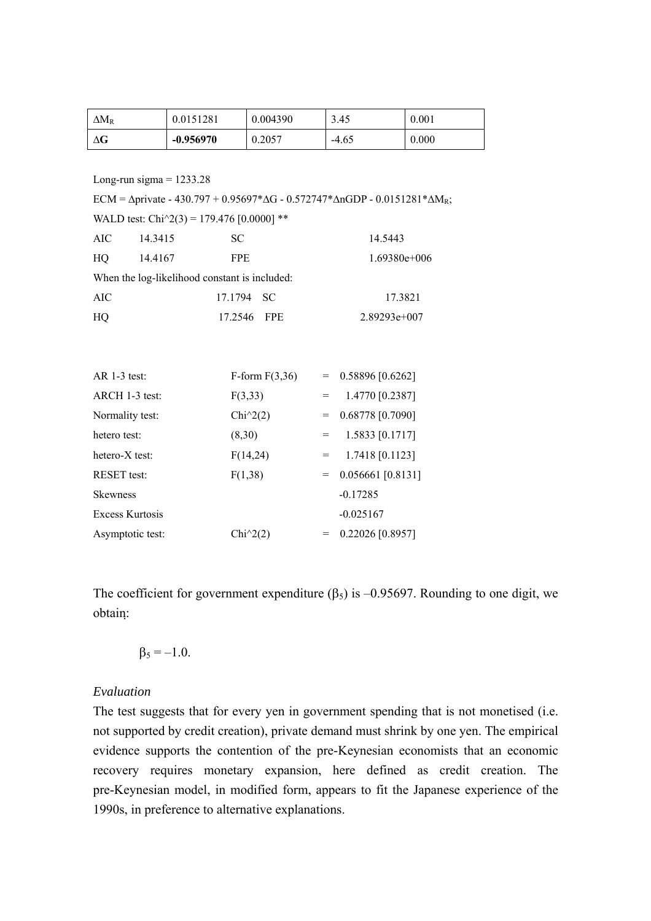| $\Delta M_R$ | 0.0151281   | 0.004390 | 3.45    | 0.001 |
|--------------|-------------|----------|---------|-------|
| ΔG           | $-0.956970$ | 0.2057   | $-4.65$ | 0.000 |

Long-run sigma  $= 1233.28$ 

ECM =  $\Delta$ private - 430.797 + 0.95697\* $\Delta$ G - 0.572747\* $\Delta$ nGDP - 0.0151281\* $\Delta M_R$ ;

WALD test: Chi $\text{^2}(3)$  = 179.476 [0.0000] \*\* AIC 14.3415 SC 14.5443 HQ 14.4167 FPE 1.69380e+006 When the log-likelihood constant is included: AIC 17.1794 SC 17.3821 HQ 17.2546 FPE 2.89293e+007 AR 1-3 test:  $F-form F(3,36) = 0.58896 [0.6262]$ ARCH 1-3 test:  $F(3,33) = 1.4770 [0.2387]$ Normality test:  $Chi^2(2) = 0.68778 [0.7090]$ hetero test:  $(8,30) = 1.5833 [0.1717]$ hetero-X test:  $F(14,24) = 1.7418 [0.1123]$ RESET test:  $F(1,38) = 0.056661 [0.8131]$ Skewness -0.17285 Excess Kurtosis -0.025167 Asymptotic test:  $Chi^2(2) = 0.22026 [0.8957]$ 

The coefficient for government expenditure  $(\beta_5)$  is -0.95697. Rounding to one digit, we obtain:

$$
\beta_5 = -1.0.
$$

## *Evaluation*

The test suggests that for every yen in government spending that is not monetised (i.e. not supported by credit creation), private demand must shrink by one yen. The empirical evidence supports the contention of the pre-Keynesian economists that an economic recovery requires monetary expansion, here defined as credit creation. The pre-Keynesian model, in modified form, appears to fit the Japanese experience of the 1990s, in preference to alternative explanations.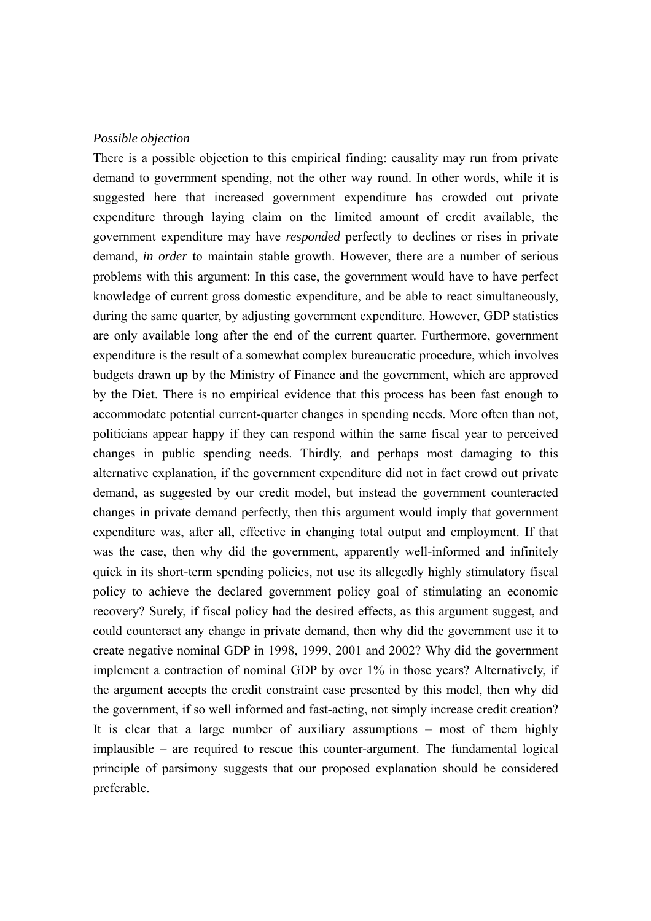#### *Possible objection*

There is a possible objection to this empirical finding: causality may run from private demand to government spending, not the other way round. In other words, while it is suggested here that increased government expenditure has crowded out private expenditure through laying claim on the limited amount of credit available, the government expenditure may have *responded* perfectly to declines or rises in private demand, *in order* to maintain stable growth. However, there are a number of serious problems with this argument: In this case, the government would have to have perfect knowledge of current gross domestic expenditure, and be able to react simultaneously, during the same quarter, by adjusting government expenditure. However, GDP statistics are only available long after the end of the current quarter. Furthermore, government expenditure is the result of a somewhat complex bureaucratic procedure, which involves budgets drawn up by the Ministry of Finance and the government, which are approved by the Diet. There is no empirical evidence that this process has been fast enough to accommodate potential current-quarter changes in spending needs. More often than not, politicians appear happy if they can respond within the same fiscal year to perceived changes in public spending needs. Thirdly, and perhaps most damaging to this alternative explanation, if the government expenditure did not in fact crowd out private demand, as suggested by our credit model, but instead the government counteracted changes in private demand perfectly, then this argument would imply that government expenditure was, after all, effective in changing total output and employment. If that was the case, then why did the government, apparently well-informed and infinitely quick in its short-term spending policies, not use its allegedly highly stimulatory fiscal policy to achieve the declared government policy goal of stimulating an economic recovery? Surely, if fiscal policy had the desired effects, as this argument suggest, and could counteract any change in private demand, then why did the government use it to create negative nominal GDP in 1998, 1999, 2001 and 2002? Why did the government implement a contraction of nominal GDP by over 1% in those years? Alternatively, if the argument accepts the credit constraint case presented by this model, then why did the government, if so well informed and fast-acting, not simply increase credit creation? It is clear that a large number of auxiliary assumptions – most of them highly implausible – are required to rescue this counter-argument. The fundamental logical principle of parsimony suggests that our proposed explanation should be considered preferable.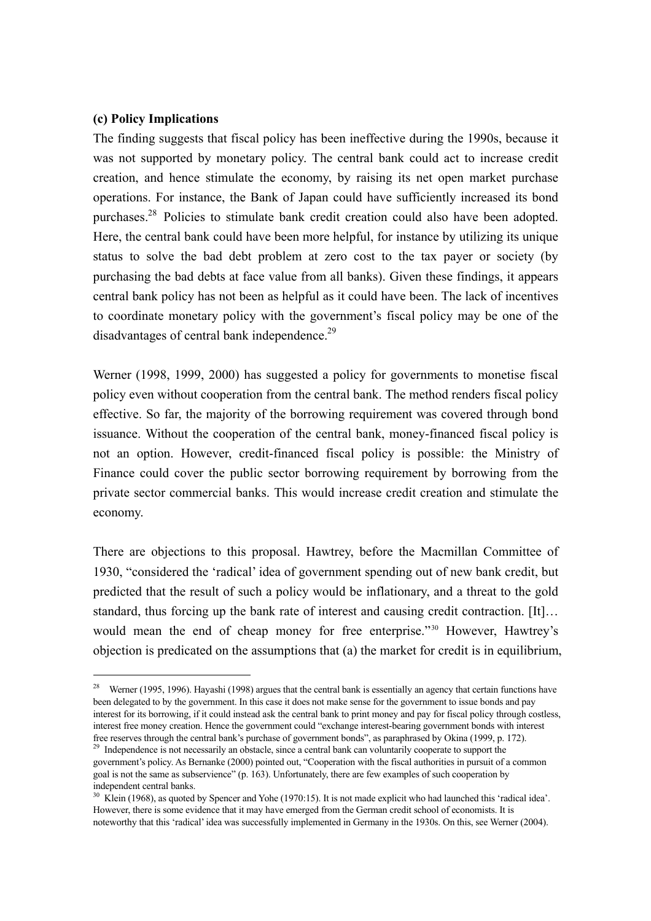### **(c) Policy Implications**

 $\overline{a}$ 

The finding suggests that fiscal policy has been ineffective during the 1990s, because it was not supported by monetary policy. The central bank could act to increase credit creation, and hence stimulate the economy, by raising its net open market purchase operations. For instance, the Bank of Japan could have sufficiently increased its bond purchases.28 Policies to stimulate bank credit creation could also have been adopted. Here, the central bank could have been more helpful, for instance by utilizing its unique status to solve the bad debt problem at zero cost to the tax payer or society (by purchasing the bad debts at face value from all banks). Given these findings, it appears central bank policy has not been as helpful as it could have been. The lack of incentives to coordinate monetary policy with the government's fiscal policy may be one of the disadvantages of central bank independence.<sup>29</sup>

Werner (1998, 1999, 2000) has suggested a policy for governments to monetise fiscal policy even without cooperation from the central bank. The method renders fiscal policy effective. So far, the majority of the borrowing requirement was covered through bond issuance. Without the cooperation of the central bank, money-financed fiscal policy is not an option. However, credit-financed fiscal policy is possible: the Ministry of Finance could cover the public sector borrowing requirement by borrowing from the private sector commercial banks. This would increase credit creation and stimulate the economy.

There are objections to this proposal. Hawtrey, before the Macmillan Committee of 1930, "considered the 'radical' idea of government spending out of new bank credit, but predicted that the result of such a policy would be inflationary, and a threat to the gold standard, thus forcing up the bank rate of interest and causing credit contraction. [It]… would mean the end of cheap money for free enterprise."<sup>30</sup> However, Hawtrey's objection is predicated on the assumptions that (a) the market for credit is in equilibrium,

<sup>&</sup>lt;sup>28</sup> Werner (1995, 1996). Hayashi (1998) argues that the central bank is essentially an agency that certain functions have been delegated to by the government. In this case it does not make sense for the government to issue bonds and pay interest for its borrowing, if it could instead ask the central bank to print money and pay for fiscal policy through costless, interest free money creation. Hence the government could "exchange interest-bearing government bonds with interest free reserves through the central bank's purchase of government bonds", as paraphrased by Okina (1999, p. 172).<br><sup>29</sup> Independence is not necessarily an obstacle, since a central bank can voluntarily cooperate to support th

government's policy. As Bernanke (2000) pointed out, "Cooperation with the fiscal authorities in pursuit of a common goal is not the same as subservience" (p. 163). Unfortunately, there are few examples of such cooperation by independent central banks.

<sup>&</sup>lt;sup>30</sup> Klein (1968), as quoted by Spencer and Yohe (1970:15). It is not made explicit who had launched this 'radical idea'. However, there is some evidence that it may have emerged from the German credit school of economists. It is noteworthy that this 'radical' idea was successfully implemented in Germany in the 1930s. On this, see Werner (2004).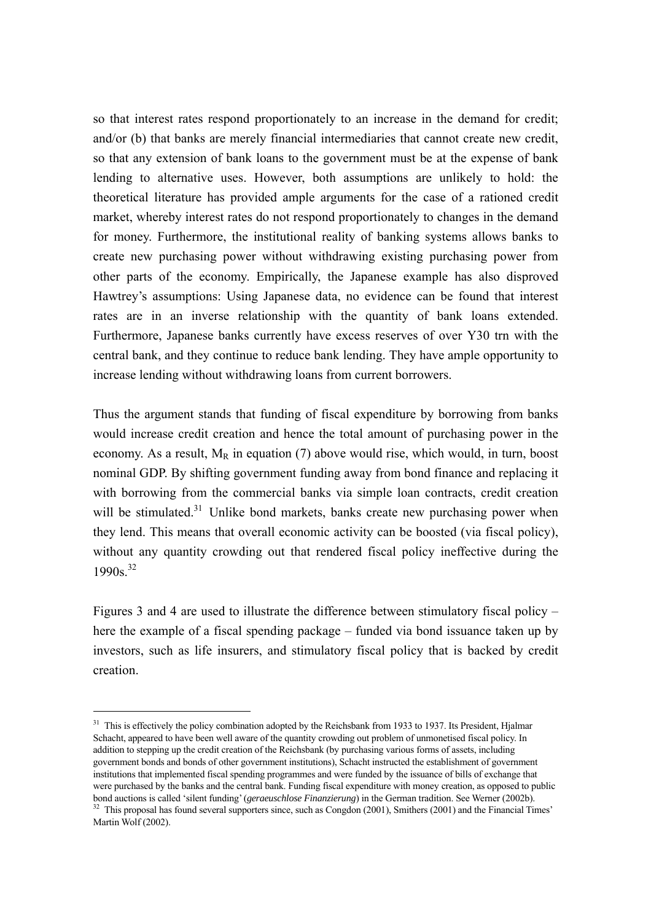so that interest rates respond proportionately to an increase in the demand for credit; and/or (b) that banks are merely financial intermediaries that cannot create new credit, so that any extension of bank loans to the government must be at the expense of bank lending to alternative uses. However, both assumptions are unlikely to hold: the theoretical literature has provided ample arguments for the case of a rationed credit market, whereby interest rates do not respond proportionately to changes in the demand for money. Furthermore, the institutional reality of banking systems allows banks to create new purchasing power without withdrawing existing purchasing power from other parts of the economy. Empirically, the Japanese example has also disproved Hawtrey's assumptions: Using Japanese data, no evidence can be found that interest rates are in an inverse relationship with the quantity of bank loans extended. Furthermore, Japanese banks currently have excess reserves of over Y30 trn with the central bank, and they continue to reduce bank lending. They have ample opportunity to increase lending without withdrawing loans from current borrowers.

Thus the argument stands that funding of fiscal expenditure by borrowing from banks would increase credit creation and hence the total amount of purchasing power in the economy. As a result,  $M_R$  in equation (7) above would rise, which would, in turn, boost nominal GDP. By shifting government funding away from bond finance and replacing it with borrowing from the commercial banks via simple loan contracts, credit creation will be stimulated.<sup>31</sup> Unlike bond markets, banks create new purchasing power when they lend. This means that overall economic activity can be boosted (via fiscal policy), without any quantity crowding out that rendered fiscal policy ineffective during the 1990s<sup>32</sup>

Figures 3 and 4 are used to illustrate the difference between stimulatory fiscal policy – here the example of a fiscal spending package – funded via bond issuance taken up by investors, such as life insurers, and stimulatory fiscal policy that is backed by credit creation.

 $\overline{a}$ 

<sup>&</sup>lt;sup>31</sup> This is effectively the policy combination adopted by the Reichsbank from 1933 to 1937. Its President, Hjalmar Schacht, appeared to have been well aware of the quantity crowding out problem of unmonetised fiscal policy. In addition to stepping up the credit creation of the Reichsbank (by purchasing various forms of assets, including government bonds and bonds of other government institutions), Schacht instructed the establishment of government institutions that implemented fiscal spending programmes and were funded by the issuance of bills of exchange that were purchased by the banks and the central bank. Funding fiscal expenditure with money creation, as opposed to public bond auctions is called 'silent funding' (geraeuschlose Finanzierung) in the German tradition. See Werner (2002b).<br><sup>32</sup> This proposal has found several supporters since, such as Congdon (2001), Smithers (2001) and the Fina

Martin Wolf (2002).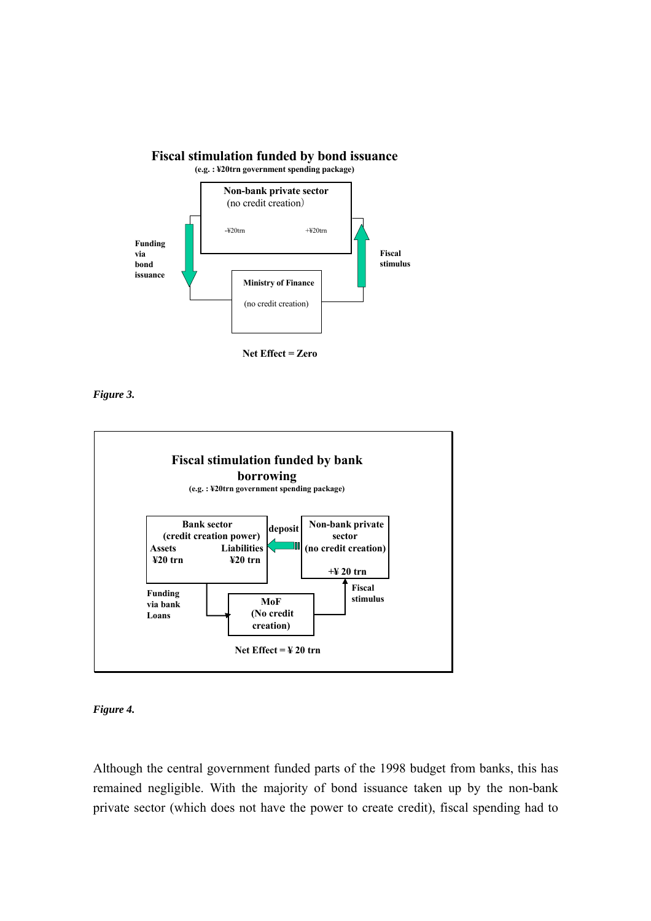

*Figure 3.* 



*Figure 4.* 

Although the central government funded parts of the 1998 budget from banks, this has remained negligible. With the majority of bond issuance taken up by the non-bank private sector (which does not have the power to create credit), fiscal spending had to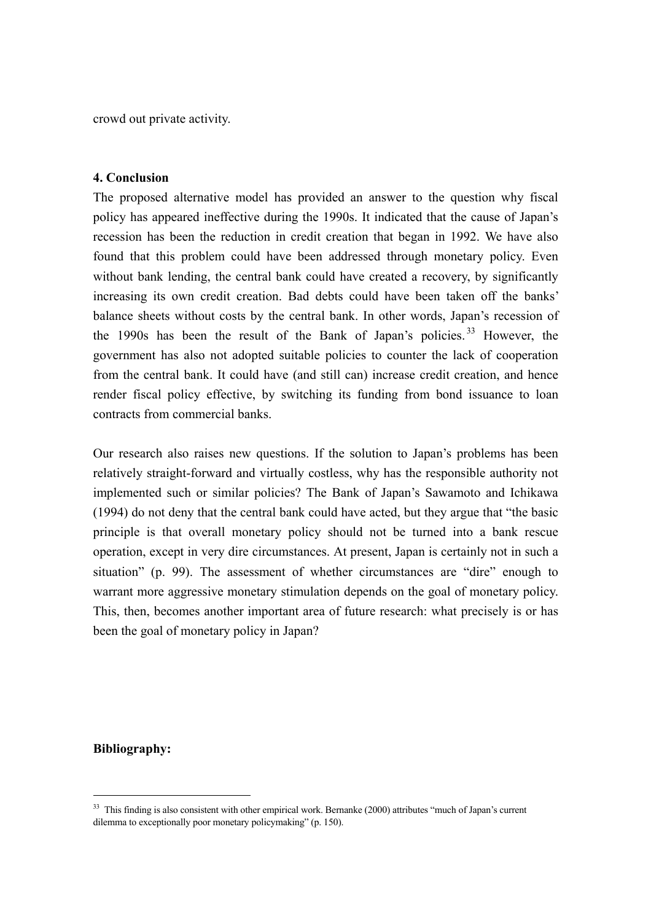crowd out private activity.

#### **4. Conclusion**

The proposed alternative model has provided an answer to the question why fiscal policy has appeared ineffective during the 1990s. It indicated that the cause of Japan's recession has been the reduction in credit creation that began in 1992. We have also found that this problem could have been addressed through monetary policy. Even without bank lending, the central bank could have created a recovery, by significantly increasing its own credit creation. Bad debts could have been taken off the banks' balance sheets without costs by the central bank. In other words, Japan's recession of the 1990s has been the result of the Bank of Japan's policies.<sup>33</sup> However, the government has also not adopted suitable policies to counter the lack of cooperation from the central bank. It could have (and still can) increase credit creation, and hence render fiscal policy effective, by switching its funding from bond issuance to loan contracts from commercial banks.

Our research also raises new questions. If the solution to Japan's problems has been relatively straight-forward and virtually costless, why has the responsible authority not implemented such or similar policies? The Bank of Japan's Sawamoto and Ichikawa (1994) do not deny that the central bank could have acted, but they argue that "the basic principle is that overall monetary policy should not be turned into a bank rescue operation, except in very dire circumstances. At present, Japan is certainly not in such a situation" (p. 99). The assessment of whether circumstances are "dire" enough to warrant more aggressive monetary stimulation depends on the goal of monetary policy. This, then, becomes another important area of future research: what precisely is or has been the goal of monetary policy in Japan?

#### **Bibliography:**

 $\overline{a}$ 

<sup>&</sup>lt;sup>33</sup> This finding is also consistent with other empirical work. Bernanke (2000) attributes "much of Japan's current dilemma to exceptionally poor monetary policymaking" (p. 150).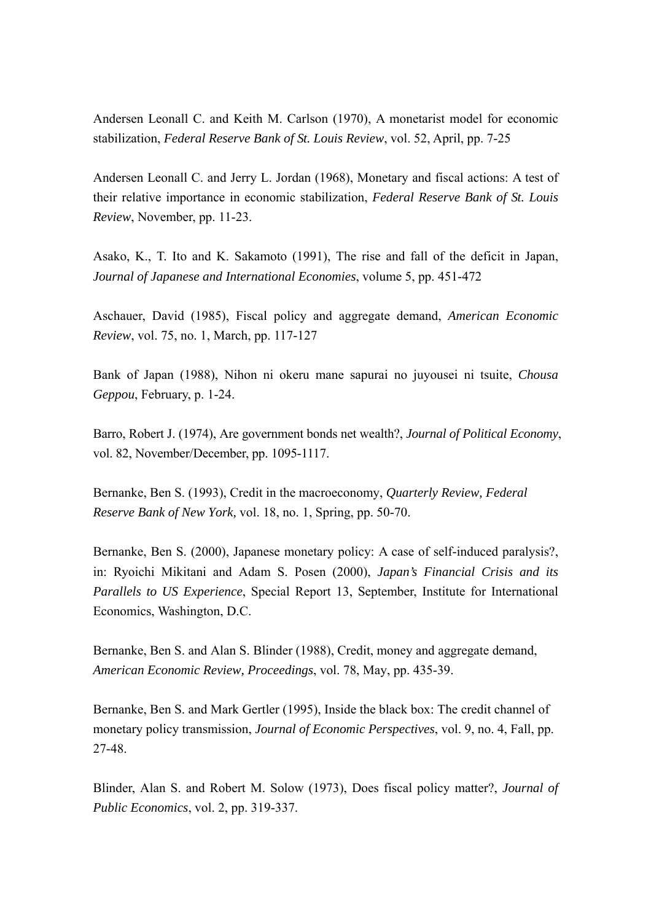Andersen Leonall C. and Keith M. Carlson (1970), A monetarist model for economic stabilization, *Federal Reserve Bank of St. Louis Review*, vol. 52, April, pp. 7-25

Andersen Leonall C. and Jerry L. Jordan (1968), Monetary and fiscal actions: A test of their relative importance in economic stabilization, *Federal Reserve Bank of St. Louis Review*, November, pp. 11-23.

Asako, K., T. Ito and K. Sakamoto (1991), The rise and fall of the deficit in Japan, *Journal of Japanese and International Economies*, volume 5, pp. 451-472

Aschauer, David (1985), Fiscal policy and aggregate demand, *American Economic Review*, vol. 75, no. 1, March, pp. 117-127

Bank of Japan (1988), Nihon ni okeru mane sapurai no juyousei ni tsuite, *Chousa Geppou*, February, p. 1-24.

Barro, Robert J. (1974), Are government bonds net wealth?, *Journal of Political Economy*, vol. 82, November/December, pp. 1095-1117.

Bernanke, Ben S. (1993), Credit in the macroeconomy, *Quarterly Review, Federal Reserve Bank of New York,* vol. 18, no. 1, Spring, pp. 50-70.

Bernanke, Ben S. (2000), Japanese monetary policy: A case of self-induced paralysis?, in: Ryoichi Mikitani and Adam S. Posen (2000), *Japan's Financial Crisis and its Parallels to US Experience*, Special Report 13, September, Institute for International Economics, Washington, D.C.

Bernanke, Ben S. and Alan S. Blinder (1988), Credit, money and aggregate demand, *American Economic Review, Proceedings*, vol. 78, May, pp. 435-39.

Bernanke, Ben S. and Mark Gertler (1995), Inside the black box: The credit channel of monetary policy transmission, *Journal of Economic Perspectives*, vol. 9, no. 4, Fall, pp. 27-48.

Blinder, Alan S. and Robert M. Solow (1973), Does fiscal policy matter?, *Journal of Public Economics*, vol. 2, pp. 319-337.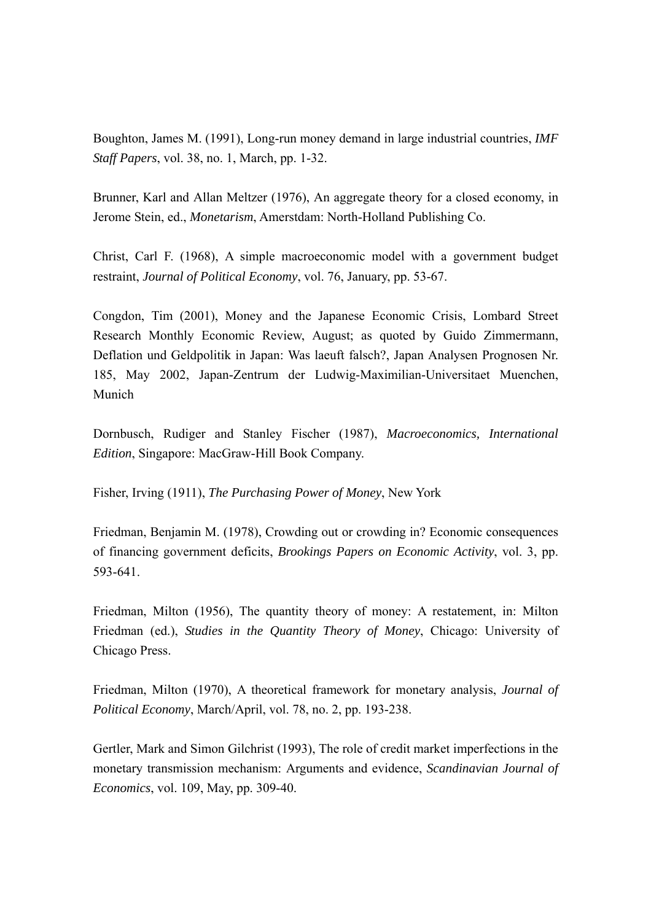Boughton, James M. (1991), Long-run money demand in large industrial countries, *IMF Staff Papers*, vol. 38, no. 1, March, pp. 1-32.

Brunner, Karl and Allan Meltzer (1976), An aggregate theory for a closed economy, in Jerome Stein, ed., *Monetarism*, Amerstdam: North-Holland Publishing Co.

Christ, Carl F. (1968), A simple macroeconomic model with a government budget restraint, *Journal of Political Economy*, vol. 76, January, pp. 53-67.

Congdon, Tim (2001), Money and the Japanese Economic Crisis, Lombard Street Research Monthly Economic Review, August; as quoted by Guido Zimmermann, Deflation und Geldpolitik in Japan: Was laeuft falsch?, Japan Analysen Prognosen Nr. 185, May 2002, Japan-Zentrum der Ludwig-Maximilian-Universitaet Muenchen, Munich

Dornbusch, Rudiger and Stanley Fischer (1987), *Macroeconomics, International Edition*, Singapore: MacGraw-Hill Book Company.

Fisher, Irving (1911), *The Purchasing Power of Money*, New York

Friedman, Benjamin M. (1978), Crowding out or crowding in? Economic consequences of financing government deficits, *Brookings Papers on Economic Activity*, vol. 3, pp. 593-641.

Friedman, Milton (1956), The quantity theory of money: A restatement, in: Milton Friedman (ed.), *Studies in the Quantity Theory of Money*, Chicago: University of Chicago Press.

Friedman, Milton (1970), A theoretical framework for monetary analysis, *Journal of Political Economy*, March/April, vol. 78, no. 2, pp. 193-238.

Gertler, Mark and Simon Gilchrist (1993), The role of credit market imperfections in the monetary transmission mechanism: Arguments and evidence, *Scandinavian Journal of Economics*, vol. 109, May, pp. 309-40.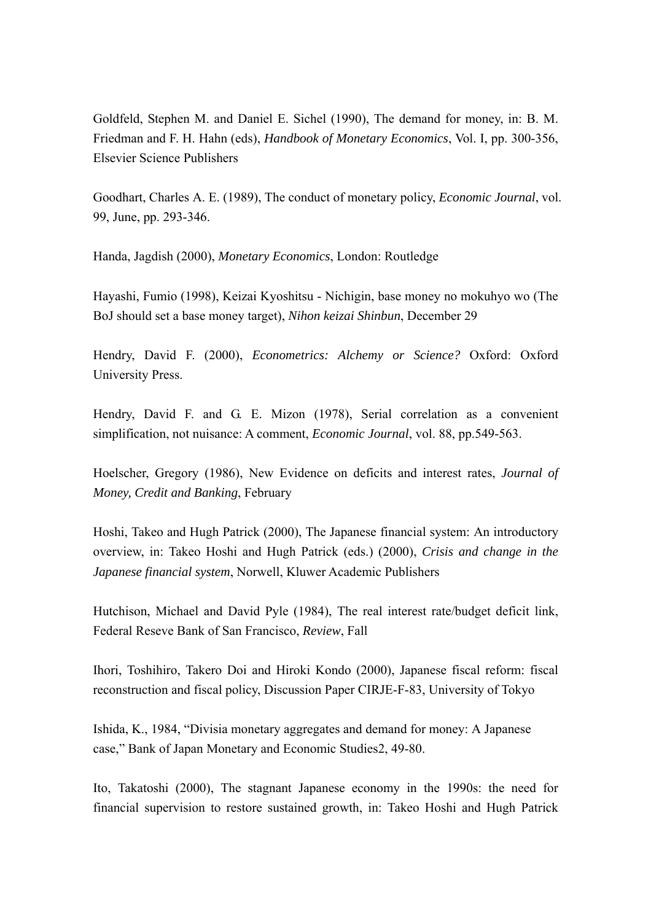Goldfeld, Stephen M. and Daniel E. Sichel (1990), The demand for money, in: B. M. Friedman and F. H. Hahn (eds), *Handbook of Monetary Economics*, Vol. I, pp. 300-356, Elsevier Science Publishers

Goodhart, Charles A. E. (1989), The conduct of monetary policy, *Economic Journal*, vol. 99, June, pp. 293-346.

Handa, Jagdish (2000), *Monetary Economics*, London: Routledge

Hayashi, Fumio (1998), Keizai Kyoshitsu - Nichigin, base money no mokuhyo wo (The BoJ should set a base money target), *Nihon keizai Shinbun*, December 29

Hendry, David F. (2000), *Econometrics: Alchemy or Science?* Oxford: Oxford University Press.

Hendry, David F. and G. E. Mizon (1978), Serial correlation as a convenient simplification, not nuisance: A comment, *Economic Journal*, vol. 88, pp.549-563.

Hoelscher, Gregory (1986), New Evidence on deficits and interest rates, *Journal of Money, Credit and Banking*, February

Hoshi, Takeo and Hugh Patrick (2000), The Japanese financial system: An introductory overview, in: Takeo Hoshi and Hugh Patrick (eds.) (2000), *Crisis and change in the Japanese financial system*, Norwell, Kluwer Academic Publishers

Hutchison, Michael and David Pyle (1984), The real interest rate/budget deficit link, Federal Reseve Bank of San Francisco, *Review*, Fall

Ihori, Toshihiro, Takero Doi and Hiroki Kondo (2000), Japanese fiscal reform: fiscal reconstruction and fiscal policy, Discussion Paper CIRJE-F-83, University of Tokyo

Ishida, K., 1984, "Divisia monetary aggregates and demand for money: A Japanese case," Bank of Japan Monetary and Economic Studies2, 49-80.

Ito, Takatoshi (2000), The stagnant Japanese economy in the 1990s: the need for financial supervision to restore sustained growth, in: Takeo Hoshi and Hugh Patrick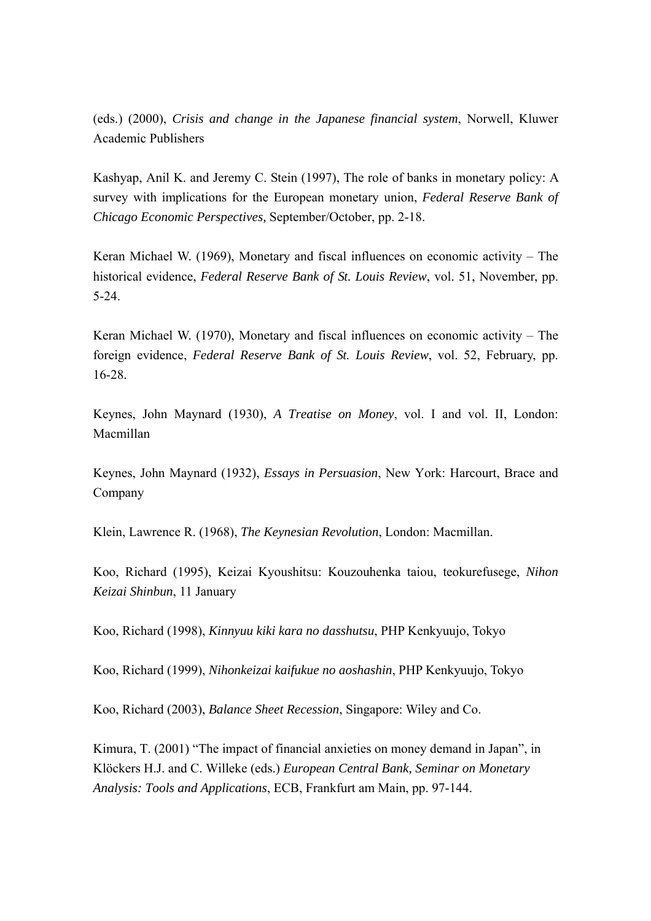(eds.) (2000), *Crisis and change in the Japanese financial system*, Norwell, Kluwer Academic Publishers

Kashyap, Anil K. and Jeremy C. Stein (1997), The role of banks in monetary policy: A survey with implications for the European monetary union, *Federal Reserve Bank of Chicago Economic Perspectives,* September/October, pp. 2-18.

Keran Michael W. (1969), Monetary and fiscal influences on economic activity – The historical evidence, *Federal Reserve Bank of St. Louis Review*, vol. 51, November, pp. 5-24.

Keran Michael W. (1970), Monetary and fiscal influences on economic activity – The foreign evidence, *Federal Reserve Bank of St. Louis Review*, vol. 52, February, pp. 16-28.

Keynes, John Maynard (1930), *A Treatise on Money*, vol. I and vol. II, London: Macmillan

Keynes, John Maynard (1932), *Essays in Persuasion*, New York: Harcourt, Brace and Company

Klein, Lawrence R. (1968), *The Keynesian Revolution*, London: Macmillan.

Koo, Richard (1995), Keizai Kyoushitsu: Kouzouhenka taiou, teokurefusege, *Nihon Keizai Shinbun*, 11 January

Koo, Richard (1998), *Kinnyuu kiki kara no dasshutsu*, PHP Kenkyuujo, Tokyo

Koo, Richard (1999), *Nihonkeizai kaifukue no aoshashin*, PHP Kenkyuujo, Tokyo

Koo, Richard (2003), *Balance Sheet Recession*, Singapore: Wiley and Co.

Kimura, T. (2001) "The impact of financial anxieties on money demand in Japan", in Klöckers H.J. and C. Willeke (eds.) *European Central Bank, Seminar on Monetary Analysis: Tools and Applications*, ECB, Frankfurt am Main, pp. 97-144.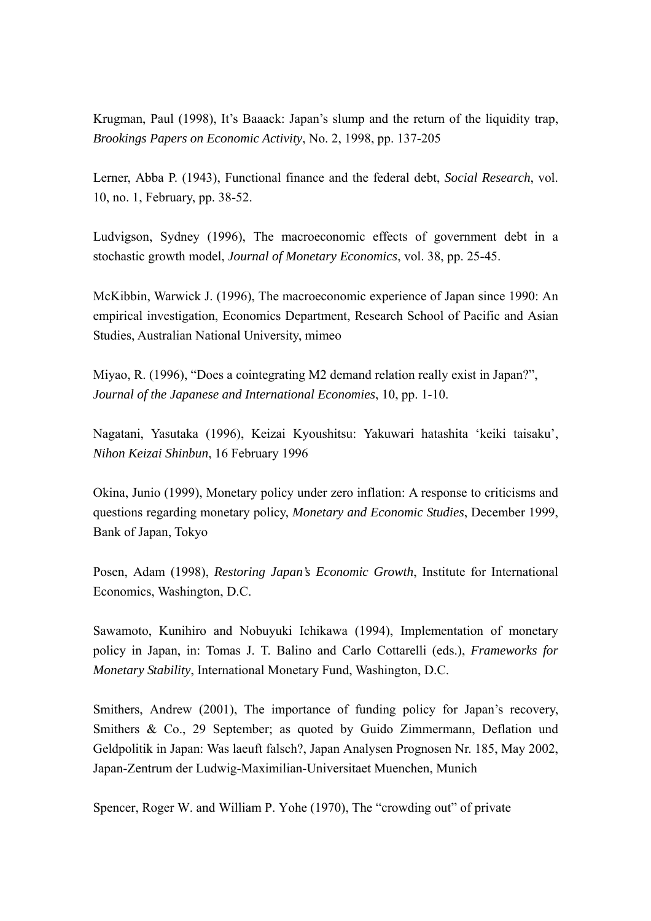Krugman, Paul (1998), It's Baaack: Japan's slump and the return of the liquidity trap, *Brookings Papers on Economic Activity*, No. 2, 1998, pp. 137-205

Lerner, Abba P. (1943), Functional finance and the federal debt, *Social Research*, vol. 10, no. 1, February, pp. 38-52.

Ludvigson, Sydney (1996), The macroeconomic effects of government debt in a stochastic growth model, *Journal of Monetary Economics*, vol. 38, pp. 25-45.

McKibbin, Warwick J. (1996), The macroeconomic experience of Japan since 1990: An empirical investigation, Economics Department, Research School of Pacific and Asian Studies, Australian National University, mimeo

Miyao, R. (1996), "Does a cointegrating M2 demand relation really exist in Japan?", *Journal of the Japanese and International Economies*, 10, pp. 1-10.

Nagatani, Yasutaka (1996), Keizai Kyoushitsu: Yakuwari hatashita 'keiki taisaku', *Nihon Keizai Shinbun*, 16 February 1996

Okina, Junio (1999), Monetary policy under zero inflation: A response to criticisms and questions regarding monetary policy, *Monetary and Economic Studies*, December 1999, Bank of Japan, Tokyo

Posen, Adam (1998), *Restoring Japan's Economic Growth*, Institute for International Economics, Washington, D.C.

Sawamoto, Kunihiro and Nobuyuki Ichikawa (1994), Implementation of monetary policy in Japan, in: Tomas J. T. Balino and Carlo Cottarelli (eds.), *Frameworks for Monetary Stability*, International Monetary Fund, Washington, D.C.

Smithers, Andrew (2001), The importance of funding policy for Japan's recovery, Smithers & Co., 29 September; as quoted by Guido Zimmermann, Deflation und Geldpolitik in Japan: Was laeuft falsch?, Japan Analysen Prognosen Nr. 185, May 2002, Japan-Zentrum der Ludwig-Maximilian-Universitaet Muenchen, Munich

Spencer, Roger W. and William P. Yohe (1970), The "crowding out" of private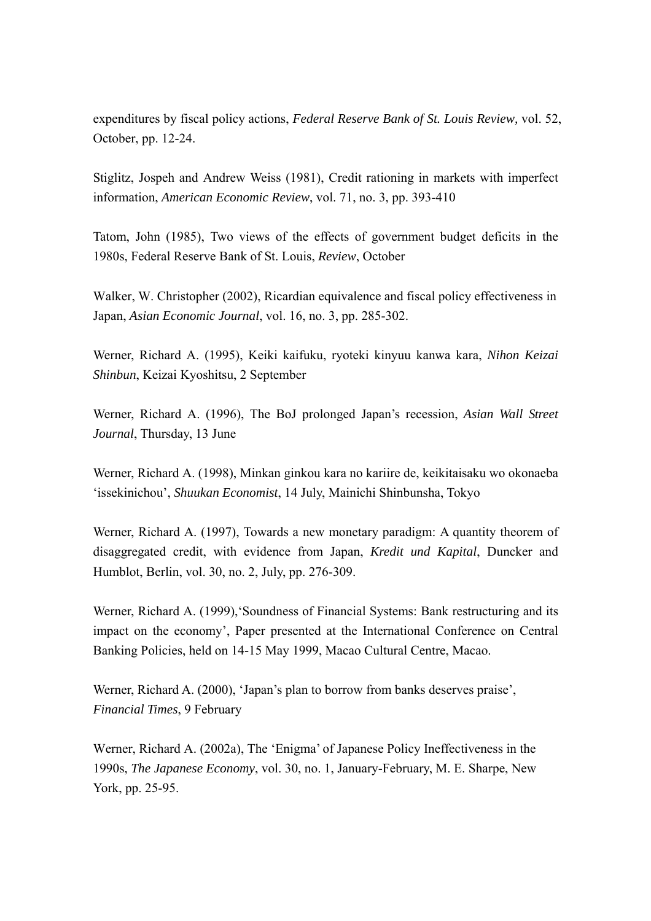expenditures by fiscal policy actions, *Federal Reserve Bank of St. Louis Review,* vol. 52, October, pp. 12-24.

Stiglitz, Jospeh and Andrew Weiss (1981), Credit rationing in markets with imperfect information, *American Economic Review*, vol. 71, no. 3, pp. 393-410

Tatom, John (1985), Two views of the effects of government budget deficits in the 1980s, Federal Reserve Bank of St. Louis, *Review*, October

Walker, W. Christopher (2002), Ricardian equivalence and fiscal policy effectiveness in Japan, *Asian Economic Journal*, vol. 16, no. 3, pp. 285-302.

Werner, Richard A. (1995), Keiki kaifuku, ryoteki kinyuu kanwa kara, *Nihon Keizai Shinbun*, Keizai Kyoshitsu, 2 September

Werner, Richard A. (1996), The BoJ prolonged Japan's recession, *Asian Wall Street Journal*, Thursday, 13 June

Werner, Richard A. (1998), Minkan ginkou kara no kariire de, keikitaisaku wo okonaeba 'issekinichou', *Shuukan Economist*, 14 July, Mainichi Shinbunsha, Tokyo

Werner, Richard A. (1997), Towards a new monetary paradigm: A quantity theorem of disaggregated credit, with evidence from Japan, *Kredit und Kapital*, Duncker and Humblot, Berlin, vol. 30, no. 2, July, pp. 276-309.

Werner, Richard A. (1999), Soundness of Financial Systems: Bank restructuring and its impact on the economy', Paper presented at the International Conference on Central Banking Policies, held on 14-15 May 1999, Macao Cultural Centre, Macao.

Werner, Richard A. (2000), 'Japan's plan to borrow from banks deserves praise', *Financial Times*, 9 February

Werner, Richard A. (2002a), The 'Enigma' of Japanese Policy Ineffectiveness in the 1990s, *The Japanese Economy*, vol. 30, no. 1, January-February, M. E. Sharpe, New York, pp. 25-95.